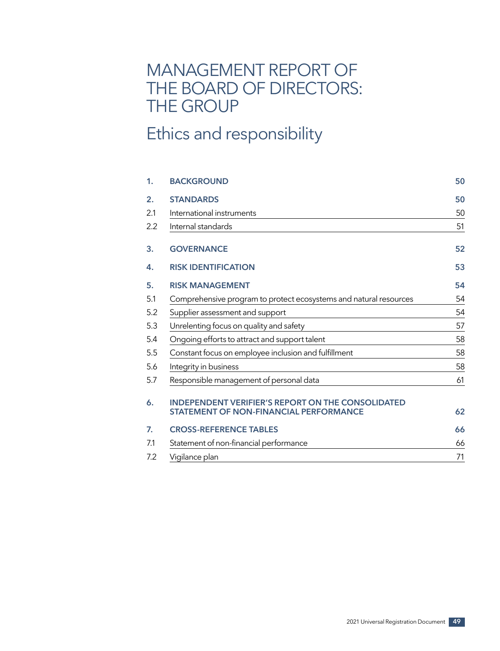# MANAGEMENT REPORT OF THE BOARD OF DIRECTORS: THE GROUP

# Ethics and responsibility

| 1.  | <b>BACKGROUND</b>                                                                                         | 50 |
|-----|-----------------------------------------------------------------------------------------------------------|----|
| 2.  | <b>STANDARDS</b>                                                                                          | 50 |
| 2.1 | International instruments                                                                                 | 50 |
| 2.2 | Internal standards                                                                                        | 51 |
| 3.  | <b>GOVERNANCE</b>                                                                                         | 52 |
| 4.  | <b>RISK IDENTIFICATION</b>                                                                                | 53 |
| 5.  | <b>RISK MANAGEMENT</b>                                                                                    | 54 |
| 5.1 | Comprehensive program to protect ecosystems and natural resources                                         | 54 |
| 5.2 | Supplier assessment and support                                                                           | 54 |
| 5.3 | Unrelenting focus on quality and safety                                                                   | 57 |
| 5.4 | Ongoing efforts to attract and support talent                                                             | 58 |
| 5.5 | Constant focus on employee inclusion and fulfillment                                                      | 58 |
| 5.6 | Integrity in business                                                                                     | 58 |
| 5.7 | Responsible management of personal data                                                                   | 61 |
| 6.  | <b>INDEPENDENT VERIFIER'S REPORT ON THE CONSOLIDATED</b><br><b>STATEMENT OF NON-FINANCIAL PERFORMANCE</b> | 62 |
| 7.  | <b>CROSS-REFERENCE TABLES</b>                                                                             | 66 |
| 7.1 | Statement of non-financial performance                                                                    | 66 |
| 7.2 | Vigilance plan                                                                                            | 71 |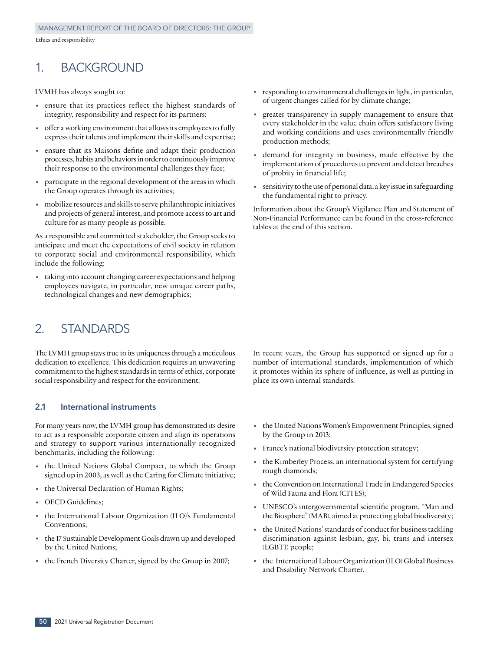## 1. BACKGROUND

LVMH has always sought to:

- ensure that its practices reflect the highest standards of integrity, responsibility and respect for its partners;
- offer a working environment that allows its employees to fully express their talents and implement their skills and expertise;
- ensure that its Maisons define and adapt their production processes, habits and behaviors in order to continuously improve their response to the environmental challenges they face;
- participate in the regional development of the areas in which the Group operates through its activities;
- mobilize resources and skills to serve philanthropic initiatives and projects of general interest, and promote access to art and culture for as many people as possible.

As a responsible and committed stakeholder, the Group seeks to anticipate and meet the expectations of civil society in relation to corporate social and environmental responsibility, which include the following:

taking into account changing career expectations and helping employees navigate, in particular, new unique career paths, technological changes and new demographics;

## 2. STANDARDS

The LVMH group stays true to its uniqueness through a meticulous dedication to excellence. This dedication requires an unwavering commitment to the highest standards in terms of ethics, corporate social responsibility and respect for the environment.

## **2.1 International instruments**

For many years now, the LVMH group has demonstrated its desire to act as a responsible corporate citizen and align its operations and strategy to support various internationally recognized benchmarks, including the following:

- the United Nations Global Compact, to which the Group signed up in 2003, as well as the Caring for Climate initiative;
- the Universal Declaration of Human Rights;
- OECD Guidelines;
- the International Labour Organization (ILO)'s Fundamental Conventions;
- the 17 Sustainable Development Goals drawn up and developed by the United Nations;
- the French Diversity Charter, signed by the Group in 2007;
- responding to environmental challenges in light, in particular, of urgent changes called for by climate change;
- greater transparency in supply management to ensure that every stakeholder in the value chain offers satisfactory living and working conditions and uses environmentally friendly production methods;
- demand for integrity in business, made effective by the implementation of procedures to prevent and detect breaches of probity in financial life;
- sensitivity to the use of personal data, a key issue in safeguarding the fundamental right to privacy.

Information about the Group's Vigilance Plan and Statement of Non-Financial Performance can be found in the cross‑reference tables at the end of this section.

In recent years, the Group has supported or signed up for a number of international standards, implementation of which it promotes within its sphere of influence, as well as putting in place its own internal standards.

- the United Nations Women's Empowerment Principles, signed by the Group in 2013;
- France's national biodiversity protection strategy;
- the Kimberley Process, an international system for certifying rough diamonds;
- the Convention on International Trade in Endangered Species of Wild Fauna and Flora (CITES);
- UNESCO's intergovernmental scientific program, "Man and the Biosphere" (MAB), aimed at protecting global biodiversity;
- the United Nations' standards of conduct for business tackling discrimination against lesbian, gay, bi, trans and intersex (LGBTI) people;
- the International Labour Organization (ILO) Global Business and Disability Network Charter.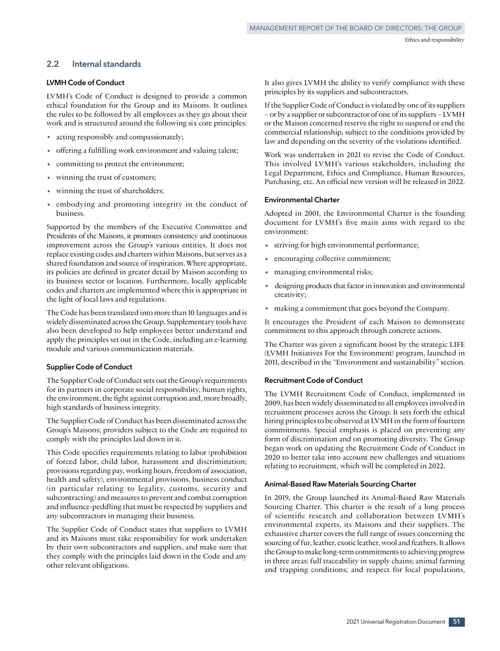## **2.2 Internal standards**

## **LVMH Code of Conduct**

LVMH's Code of Conduct is designed to provide a common ethical foundation for the Group and its Maisons. It outlines the rules to be followed by all employees as they go about their work and is structured around the following six core principles:

- acting responsibly and compassionately;
- offering a fulfilling work environment and valuing talent;
- committing to protect the environment;
- winning the trust of customers;
- winning the trust of shareholders;
- embodying and promoting integrity in the conduct of business.

Supported by the members of the Executive Committee and Presidents of the Maisons, it promotes consistency and continuous improvement across the Group's various entities. It does not replace existing codes and charters within Maisons, but serves as a shared foundation and source of inspiration. Where appropriate, its policies are defined in greater detail by Maison according to its business sector or location. Furthermore, locally applicable codes and charters are implemented where this is appropriate in the light of local laws and regulations.

The Code has been translated into more than 10 languages and is widely disseminated across the Group. Supplementary tools have also been developed to help employees better understand and apply the principles set out in the Code, including an e‑learning module and various communication materials.

#### **Supplier Code of Conduct**

The Supplier Code of Conduct sets out the Group's requirements for its partners in corporate social responsibility, human rights, the environment, the fight against corruption and, more broadly, high standards of business integrity.

The Supplier Code of Conduct has been disseminated across the Group's Maisons; providers subject to the Code are required to comply with the principles laid down in it.

This Code specifies requirements relating to labor (prohibition of forced labor, child labor, harassment and discrimination; provisions regarding pay, working hours, freedom of association, health and safety), environmental provisions, business conduct (in particular relating to legality, customs, security and subcontracting) and measures to prevent and combat corruption and influence‑peddling that must be respected by suppliers and any subcontractors in managing their business.

The Supplier Code of Conduct states that suppliers to LVMH and its Maisons must take responsibility for work undertaken by their own subcontractors and suppliers, and make sure that they comply with the principles laid down in the Code and any other relevant obligations.

It also gives LVMH the ability to verify compliance with these principles by its suppliers and subcontractors.

If the Supplier Code of Conduct is violated by one of its suppliers – or by a supplier or subcontractor of one of its suppliers – LVMH or the Maison concerned reserve the right to suspend or end the commercial relationship, subject to the conditions provided by law and depending on the severity of the violations identified.

Work was undertaken in 2021 to revise the Code of Conduct. This involved LVMH's various stakeholders, including the Legal Department, Ethics and Compliance, Human Resources, Purchasing, etc. An official new version will be released in 2022.

### **Environmental Charter**

Adopted in 2001, the Environmental Charter is the founding document for LVMH's five main aims with regard to the environment:

- striving for high environmental performance;
- encouraging collective commitment;
- managing environmental risks;
- designing products that factor in innovation and environmental creativity;
- making a commitment that goes beyond the Company.

It encourages the President of each Maison to demonstrate commitment to this approach through concrete actions.

The Charter was given a significant boost by the strategic LIFE (LVMH Initiatives For the Environment) program, launched in 2011, described in the "Environment and sustainability" section.

### **Recruitment Code of Conduct**

The LVMH Recruitment Code of Conduct, implemented in 2009, has been widely disseminated to all employees involved in recruitment processes across the Group. It sets forth the ethical hiring principles to be observed at LVMH in the form of fourteen commitments. Special emphasis is placed on preventing any form of discrimination and on promoting diversity. The Group began work on updating the Recruitment Code of Conduct in 2020 to better take into account new challenges and situations relating to recruitment, which will be completed in 2022.

#### **Animal-Based Raw Materials Sourcing Charter**

In 2019, the Group launched its Animal-Based Raw Materials Sourcing Charter. This charter is the result of a long process of scientific research and collaboration between LVMH's environmental experts, its Maisons and their suppliers. The exhaustive charter covers the full range of issues concerning the sourcing of fur, leather, exotic leather, wool and feathers. It allows the Group to make long‑term commitments to achieving progress in three areas: full traceability in supply chains; animal farming and trapping conditions; and respect for local populations,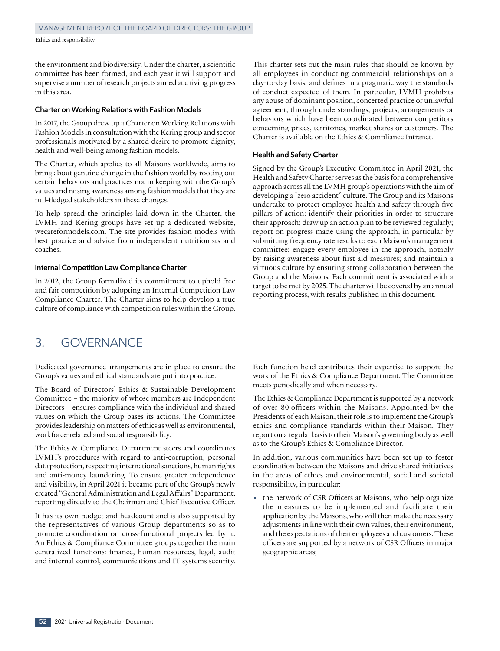the environment and biodiversity. Under the charter, a scientific committee has been formed, and each year it will support and supervise a number of research projects aimed at driving progress in this area.

#### **Charter on Working Relations with Fashion Models**

In 2017, the Group drew up a Charter on Working Relations with Fashion Models in consultation with the Kering group and sector professionals motivated by a shared desire to promote dignity, health and well-being among fashion models.

The Charter, which applies to all Maisons worldwide, aims to bring about genuine change in the fashion world by rooting out certain behaviors and practices not in keeping with the Group's values and raising awareness among fashion models that they are full-fledged stakeholders in these changes.

To help spread the principles laid down in the Charter, the LVMH and Kering groups have set up a dedicated website, wecareformodels.com. The site provides fashion models with best practice and advice from independent nutritionists and coaches.

### **Internal Competition Law Compliance Charter**

In 2012, the Group formalized its commitment to uphold free and fair competition by adopting an Internal Competition Law Compliance Charter. The Charter aims to help develop a true culture of compliance with competition rules within the Group. This charter sets out the main rules that should be known by all employees in conducting commercial relationships on a day‑to‑day basis, and defines in a pragmatic way the standards of conduct expected of them. In particular, LVMH prohibits any abuse of dominant position, concerted practice or unlawful agreement, through understandings, projects, arrangements or behaviors which have been coordinated between competitors concerning prices, territories, market shares or customers. The Charter is available on the Ethics & Compliance Intranet.

#### **Health and Safety Charter**

Signed by the Group's Executive Committee in April 2021, the Health and Safety Charter serves as the basis for a comprehensive approach across all the LVMH group's operations with the aim of developing a "zero accident" culture. The Group and its Maisons undertake to protect employee health and safety through five pillars of action: identify their priorities in order to structure their approach; draw up an action plan to be reviewed regularly; report on progress made using the approach, in particular by submitting frequency rate results to each Maison's management committee; engage every employee in the approach, notably by raising awareness about first aid measures; and maintain a virtuous culture by ensuring strong collaboration between the Group and the Maisons. Each commitment is associated with a target to be met by 2025. The charter will be covered by an annual reporting process, with results published in this document.

## 3. GOVERNANCE

Dedicated governance arrangements are in place to ensure the Group's values and ethical standards are put into practice.

The Board of Directors' Ethics & Sustainable Development Committee – the majority of whose members are Independent Directors – ensures compliance with the individual and shared values on which the Group bases its actions. The Committee provides leadership on matters of ethics as well as environmental, workforce‑related and social responsibility.

The Ethics & Compliance Department steers and coordinates LVMH's procedures with regard to anti‑corruption, personal data protection, respecting international sanctions, human rights and anti‑money laundering. To ensure greater independence and visibility, in April 2021 it became part of the Group's newly created "General Administration and Legal Affairs" Department, reporting directly to the Chairman and Chief Executive Officer.

It has its own budget and headcount and is also supported by the representatives of various Group departments so as to promote coordination on cross-functional projects led by it. An Ethics & Compliance Committee groups together the main centralized functions: finance, human resources, legal, audit and internal control, communications and IT systems security. Each function head contributes their expertise to support the work of the Ethics & Compliance Department. The Committee meets periodically and when necessary.

The Ethics & Compliance Department is supported by a network of over 80 officers within the Maisons. Appointed by the Presidents of each Maison, their role is to implement the Group's ethics and compliance standards within their Maison. They report on a regular basis to their Maison's governing body as well as to the Group's Ethics & Compliance Director.

In addition, various communities have been set up to foster coordination between the Maisons and drive shared initiatives in the areas of ethics and environmental, social and societal responsibility, in particular:

• the network of CSR Officers at Maisons, who help organize the measures to be implemented and facilitate their application by the Maisons, who will then make the necessary adjustments in line with their own values, their environment, and the expectations of their employees and customers. These officers are supported by a network of CSR Officers in major geographic areas;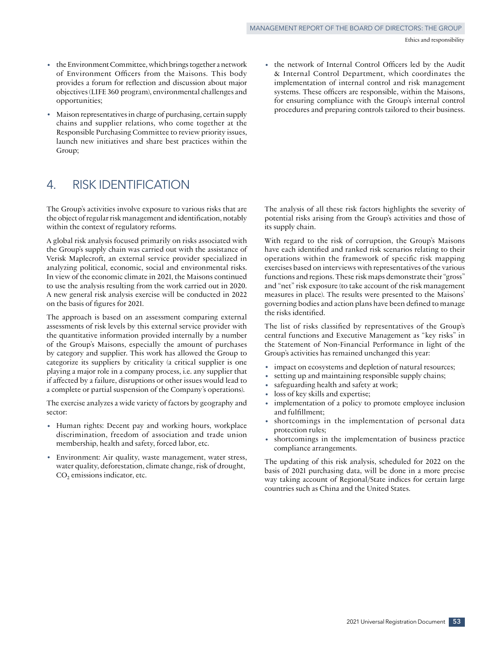- the Environment Committee, which brings together a network of Environment Officers from the Maisons. This body provides a forum for reflection and discussion about major objectives (LIFE 360 program), environmental challenges and opportunities;
- Maison representatives in charge of purchasing, certain supply chains and supplier relations, who come together at the Responsible Purchasing Committee to review priority issues, launch new initiatives and share best practices within the Group;

## 4. RISK IDENTIFICATION

The Group's activities involve exposure to various risks that are the object of regular risk management and identification, notably within the context of regulatory reforms.

A global risk analysis focused primarily on risks associated with the Group's supply chain was carried out with the assistance of Verisk Maplecroft, an external service provider specialized in analyzing political, economic, social and environmental risks. In view of the economic climate in 2021, the Maisons continued to use the analysis resulting from the work carried out in 2020. A new general risk analysis exercise will be conducted in 2022 on the basis of figures for 2021.

The approach is based on an assessment comparing external assessments of risk levels by this external service provider with the quantitative information provided internally by a number of the Group's Maisons, especially the amount of purchases by category and supplier. This work has allowed the Group to categorize its suppliers by criticality (a critical supplier is one playing a major role in a company process, i.e. any supplier that if affected by a failure, disruptions or other issues would lead to a complete or partial suspension of the Company's operations).

The exercise analyzes a wide variety of factors by geography and sector:

- Human rights: Decent pay and working hours, workplace discrimination, freedom of association and trade union membership, health and safety, forced labor, etc.
- Environment: Air quality, waste management, water stress, water quality, deforestation, climate change, risk of drought,  $CO<sub>2</sub>$  emissions indicator, etc.

• the network of Internal Control Officers led by the Audit & Internal Control Department, which coordinates the implementation of internal control and risk management systems. These officers are responsible, within the Maisons, for ensuring compliance with the Group's internal control procedures and preparing controls tailored to their business.

The analysis of all these risk factors highlights the severity of potential risks arising from the Group's activities and those of its supply chain.

With regard to the risk of corruption, the Group's Maisons have each identified and ranked risk scenarios relating to their operations within the framework of specific risk mapping exercises based on interviews with representatives of the various functions and regions. These risk maps demonstrate their "gross" and "net" risk exposure (to take account of the risk management measures in place). The results were presented to the Maisons' governing bodies and action plans have been defined to manage the risks identified.

The list of risks classified by representatives of the Group's central functions and Executive Management as "key risks" in the Statement of Non-Financial Performance in light of the Group's activities has remained unchanged this year:

- impact on ecosystems and depletion of natural resources;
- setting up and maintaining responsible supply chains;
- safeguarding health and safety at work;
- loss of key skills and expertise;
- implementation of a policy to promote employee inclusion and fulfillment;
- shortcomings in the implementation of personal data protection rules;
- shortcomings in the implementation of business practice compliance arrangements.

The updating of this risk analysis, scheduled for 2022 on the basis of 2021 purchasing data, will be done in a more precise way taking account of Regional/State indices for certain large countries such as China and the United States.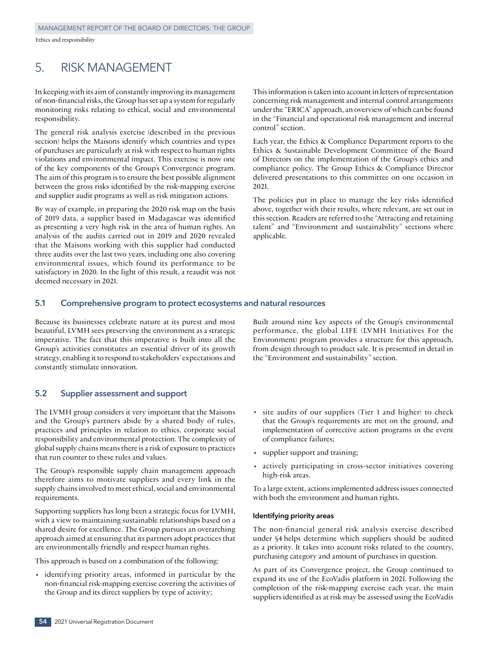## 5. RISK MANAGEMENT

In keeping with its aim of constantly improving its management of non‑financial risks, the Group has set up a system for regularly monitoring risks relating to ethical, social and environmental responsibility.

The general risk analysis exercise (described in the previous section) helps the Maisons identify which countries and types of purchases are particularly at risk with respect to human rights violations and environmental impact. This exercise is now one of the key components of the Group's Convergence program. The aim of this program is to ensure the best possible alignment between the gross risks identified by the risk‑mapping exercise and supplier audit programs as well as risk mitigation actions.

By way of example, in preparing the 2020 risk map on the basis of 2019 data, a supplier based in Madagascar was identified as presenting a very high risk in the area of human rights. An analysis of the audits carried out in 2019 and 2020 revealed that the Maisons working with this supplier had conducted three audits over the last two years, including one also covering environmental issues, which found its performance to be satisfactory in 2020. In the light of this result, a reaudit was not deemed necessary in 2021.

This information is taken into account in letters of representation concerning risk management and internal control arrangements under the "ERICA" approach, an overview of which can be found in the "Financial and operational risk management and internal control" section.

Each year, the Ethics & Compliance Department reports to the Ethics & Sustainable Development Committee of the Board of Directors on the implementation of the Group's ethics and compliance policy. The Group Ethics & Compliance Director delivered presentations to this committee on one occasion in 2021.

The policies put in place to manage the key risks identified above, together with their results, where relevant, are set out in this section. Readers are referred to the "Attracting and retaining talent" and "Environment and sustainability" sections where applicable.

## **5.1 Comprehensive program to protect ecosystems and natural resources**

Because its businesses celebrate nature at its purest and most beautiful, LVMH sees preserving the environment as a strategic imperative. The fact that this imperative is built into all the Group's activities constitutes an essential driver of its growth strategy, enabling it to respond to stakeholders' expectations and constantly stimulate innovation.

Built around nine key aspects of the Group's environmental performance, the global LIFE (LVMH Initiatives For the Environment) program provides a structure for this approach, from design through to product sale. It is presented in detail in the "Environment and sustainability" section.

## **5.2 Supplier assessment and support**

The LVMH group considers it very important that the Maisons and the Group's partners abide by a shared body of rules, practices and principles in relation to ethics, corporate social responsibility and environmental protection. The complexity of global supply chains means there is a risk of exposure to practices that run counter to these rules and values.

The Group's responsible supply chain management approach therefore aims to motivate suppliers and every link in the supply chains involved to meet ethical, social and environmental requirements.

Supporting suppliers has long been a strategic focus for LVMH, with a view to maintaining sustainable relationships based on a shared desire for excellence. The Group pursues an overarching approach aimed at ensuring that its partners adopt practices that are environmentally friendly and respect human rights.

This approach is based on a combination of the following:

• identifying priority areas, informed in particular by the non‑financial risk‑mapping exercise covering the activities of the Group and its direct suppliers by type of activity;

- site audits of our suppliers (Tier 1 and higher) to check that the Group's requirements are met on the ground, and implementation of corrective action programs in the event of compliance failures;
- supplier support and training;
- actively participating in cross-sector initiatives covering high-risk areas.

To a large extent, actions implemented address issues connected with both the environment and human rights.

#### **Identifying priority areas**

The non-financial general risk analysis exercise described under §4 helps determine which suppliers should be audited as a priority. It takes into account risks related to the country, purchasing category and amount of purchases in question.

As part of its Convergence project, the Group continued to expand its use of the EcoVadis platform in 2021. Following the completion of the risk-mapping exercise each year, the main suppliers identified as at risk may be assessed using the EcoVadis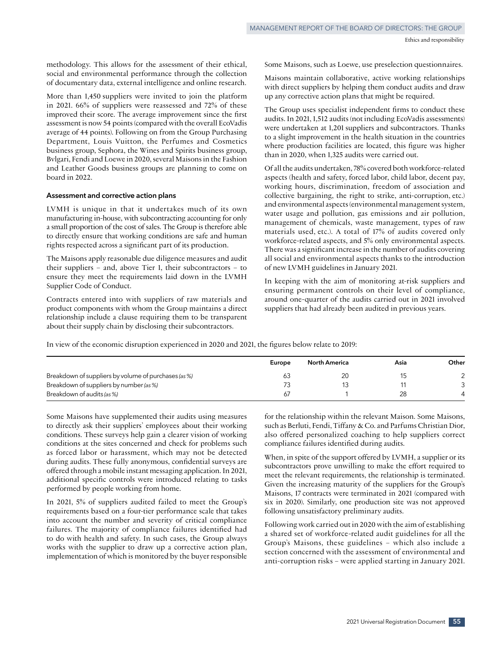methodology. This allows for the assessment of their ethical, social and environmental performance through the collection of documentary data, external intelligence and online research.

More than 1,450 suppliers were invited to join the platform in 2021. 66% of suppliers were reassessed and 72% of these improved their score. The average improvement since the first assessment is now 54 points (compared with the overall EcoVadis average of 44 points). Following on from the Group Purchasing Department, Louis Vuitton, the Perfumes and Cosmetics business group, Sephora, the Wines and Spirits business group, Bvlgari, Fendi and Loewe in 2020, several Maisons in the Fashion and Leather Goods business groups are planning to come on board in 2022.

#### **Assessment and corrective action plans**

LVMH is unique in that it undertakes much of its own manufacturing in-house, with subcontracting accounting for only a small proportion of the cost of sales. The Group is therefore able to directly ensure that working conditions are safe and human rights respected across a significant part of its production.

The Maisons apply reasonable due diligence measures and audit their suppliers – and, above Tier 1, their subcontractors – to ensure they meet the requirements laid down in the LVMH Supplier Code of Conduct.

Contracts entered into with suppliers of raw materials and product components with whom the Group maintains a direct relationship include a clause requiring them to be transparent about their supply chain by disclosing their subcontractors.

Some Maisons, such as Loewe, use preselection questionnaires.

Maisons maintain collaborative, active working relationships with direct suppliers by helping them conduct audits and draw up any corrective action plans that might be required.

The Group uses specialist independent firms to conduct these audits. In 2021, 1,512 audits (not including EcoVadis assessments) were undertaken at 1,201 suppliers and subcontractors. Thanks to a slight improvement in the health situation in the countries where production facilities are located, this figure was higher than in 2020, when 1,325 audits were carried out.

Of all the audits undertaken, 78% covered both workforce‑related aspects (health and safety, forced labor, child labor, decent pay, working hours, discrimination, freedom of association and collective bargaining, the right to strike, anti‑corruption, etc.) and environmental aspects (environmental management system, water usage and pollution, gas emissions and air pollution, management of chemicals, waste management, types of raw materials used, etc.). A total of 17% of audits covered only workforce-related aspects, and 5% only environmental aspects. There was a significant increase in the number of audits covering all social and environmental aspects thanks to the introduction of new LVMH guidelines in January 2021.

In keeping with the aim of monitoring at-risk suppliers and ensuring permanent controls on their level of compliance, around one‑quarter of the audits carried out in 2021 involved suppliers that had already been audited in previous years.

In view of the economic disruption experienced in 2020 and 2021, the figures below relate to 2019:

|                                                      | Europe | <b>North America</b> | Asia | Other |
|------------------------------------------------------|--------|----------------------|------|-------|
| Breakdown of suppliers by volume of purchases (as %) |        |                      |      |       |
| Breakdown of suppliers by number (as %)              |        |                      |      |       |
| Breakdown of audits (as %)                           | 61     |                      | 28   |       |

Some Maisons have supplemented their audits using measures to directly ask their suppliers' employees about their working conditions. These surveys help gain a clearer vision of working conditions at the sites concerned and check for problems such as forced labor or harassment, which may not be detected during audits. These fully anonymous, confidential surveys are offered through a mobile instant messaging application. In 2021, additional specific controls were introduced relating to tasks performed by people working from home.

In 2021, 5% of suppliers audited failed to meet the Group's requirements based on a four-tier performance scale that takes into account the number and severity of critical compliance failures. The majority of compliance failures identified had to do with health and safety. In such cases, the Group always works with the supplier to draw up a corrective action plan, implementation of which is monitored by the buyer responsible for the relationship within the relevant Maison. Some Maisons, such as Berluti, Fendi, Tiffany & Co. and Parfums Christian Dior, also offered personalized coaching to help suppliers correct compliance failures identified during audits.

When, in spite of the support offered by LVMH, a supplier or its subcontractors prove unwilling to make the effort required to meet the relevant requirements, the relationship is terminated. Given the increasing maturity of the suppliers for the Group's Maisons, 17 contracts were terminated in 2021 (compared with six in 2020). Similarly, one production site was not approved following unsatisfactory preliminary audits.

Following work carried out in 2020 with the aim of establishing a shared set of workforce-related audit guidelines for all the Group's Maisons, these guidelines – which also include a section concerned with the assessment of environmental and anti-corruption risks – were applied starting in January 2021.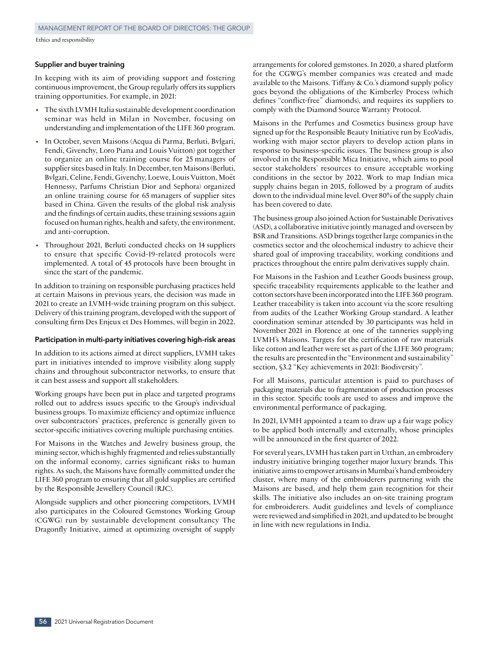#### **Supplier and buyer training**

In keeping with its aim of providing support and fostering continuous improvement, the Group regularly offers its suppliers training opportunities. For example, in 2021:

- The sixth LVMH Italia sustainable development coordination seminar was held in Milan in November, focusing on understanding and implementation of the LIFE 360 program.
- In October, seven Maisons (Acqua di Parma, Berluti, Bvlgari, Fendi, Givenchy, Loro Piana and Louis Vuitton) got together to organize an online training course for 25 managers of supplier sites based in Italy. In December, ten Maisons (Berluti, Bvlgari, Celine, Fendi, Givenchy, Loewe, Louis Vuitton, Moët Hennessy, Parfums Christian Dior and Sephora) organized an online training course for 65 managers of supplier sites based in China. Given the results of the global risk analysis and the findings of certain audits, these training sessions again focused on human rights, health and safety, the environment, and anti‑corruption.
- Throughout 2021, Berluti conducted checks on 14 suppliers to ensure that specific Covid‑19‑related protocols were implemented. A total of 45 protocols have been brought in since the start of the pandemic.

In addition to training on responsible purchasing practices held at certain Maisons in previous years, the decision was made in 2021 to create an LVMH-wide training program on this subject. Delivery of this training program, developed with the support of consulting firm Des Enjeux et Des Hommes, will begin in 2022.

#### **Participation in multi‑party initiatives covering high‑risk areas**

In addition to its actions aimed at direct suppliers, LVMH takes part in initiatives intended to improve visibility along supply chains and throughout subcontractor networks, to ensure that it can best assess and support all stakeholders.

Working groups have been put in place and targeted programs rolled out to address issues specific to the Group's individual business groups. To maximize efficiency and optimize influence over subcontractors' practices, preference is generally given to sector-specific initiatives covering multiple purchasing entities.

For Maisons in the Watches and Jewelry business group, the mining sector, which is highly fragmented and relies substantially on the informal economy, carries significant risks to human rights. As such, the Maisons have formally committed under the LIFE 360 program to ensuring that all gold supplies are certified by the Responsible Jewellery Council (RJC).

Alongside suppliers and other pioneering competitors, LVMH also participates in the Coloured Gemstones Working Group (CGWG) run by sustainable development consultancy The Dragonfly Initiative, aimed at optimizing oversight of supply arrangements for colored gemstones. In 2020, a shared platform for the CGWG's member companies was created and made available to the Maisons. Tiffany & Co.'s diamond supply policy goes beyond the obligations of the Kimberley Process (which defines "conflict‑free" diamonds), and requires its suppliers to comply with the Diamond Source Warranty Protocol.

Maisons in the Perfumes and Cosmetics business group have signed up for the Responsible Beauty Initiative run by EcoVadis, working with major sector players to develop action plans in response to business‑specific issues. The business group is also involved in the Responsible Mica Initiative, which aims to pool sector stakeholders' resources to ensure acceptable working conditions in the sector by 2022. Work to map Indian mica supply chains began in 2015, followed by a program of audits down to the individual mine level. Over 80% of the supply chain has been covered to date.

The business group also joined Action for Sustainable Derivatives (ASD), a collaborative initiative jointly managed and overseen by BSR and Transitions. ASD brings together large companies in the cosmetics sector and the oleochemical industry to achieve their shared goal of improving traceability, working conditions and practices throughout the entire palm derivatives supply chain.

For Maisons in the Fashion and Leather Goods business group, specific traceability requirements applicable to the leather and cotton sectors have been incorporated into the LIFE 360 program. Leather traceability is taken into account via the score resulting from audits of the Leather Working Group standard. A leather coordination seminar attended by 30 participants was held in November 2021 in Florence at one of the tanneries supplying LVMH's Maisons. Targets for the certification of raw materials like cotton and leather were set as part of the LIFE 360 program; the results are presented in the "Environment and sustainability" section, §3.2 "Key achievements in 2021: Biodiversity".

For all Maisons, particular attention is paid to purchases of packaging materials due to fragmentation of production processes in this sector. Specific tools are used to assess and improve the environmental performance of packaging.

In 2021, LVMH appointed a team to draw up a fair wage policy to be applied both internally and externally, whose principles will be announced in the first quarter of 2022.

For several years, LVMH has taken part in Utthan, an embroidery industry initiative bringing together major luxury brands. This initiative aims to empower artisans in Mumbai's hand embroidery cluster, where many of the embroiderers partnering with the Maisons are based, and help them gain recognition for their skills. The initiative also includes an on‑site training program for embroiderers. Audit guidelines and levels of compliance were reviewed and simplified in 2021, and updated to be brought in line with new regulations in India.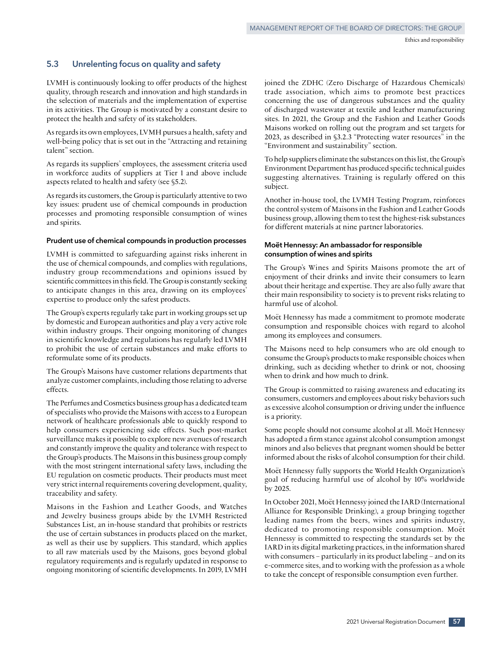## **5.3 Unrelenting focus on quality and safety**

LVMH is continuously looking to offer products of the highest quality, through research and innovation and high standards in the selection of materials and the implementation of expertise in its activities. The Group is motivated by a constant desire to protect the health and safety of its stakeholders.

As regards its own employees, LVMH pursues a health, safety and well-being policy that is set out in the "Attracting and retaining talent" section.

As regards its suppliers' employees, the assessment criteria used in workforce audits of suppliers at Tier 1 and above include aspects related to health and safety (see §5.2).

As regards its customers, the Group is particularly attentive to two key issues: prudent use of chemical compounds in production processes and promoting responsible consumption of wines and spirits.

#### **Prudent use of chemical compounds in production processes**

LVMH is committed to safeguarding against risks inherent in the use of chemical compounds, and complies with regulations, industry group recommendations and opinions issued by scientific committees in this field. The Group is constantly seeking to anticipate changes in this area, drawing on its employees' expertise to produce only the safest products.

The Group's experts regularly take part in working groups set up by domestic and European authorities and play a very active role within industry groups. Their ongoing monitoring of changes in scientific knowledge and regulations has regularly led LVMH to prohibit the use of certain substances and make efforts to reformulate some of its products.

The Group's Maisons have customer relations departments that analyze customer complaints, including those relating to adverse effects.

The Perfumes and Cosmetics business group has a dedicated team of specialists who provide the Maisons with access to a European network of healthcare professionals able to quickly respond to help consumers experiencing side effects. Such post-market surveillance makes it possible to explore new avenues of research and constantly improve the quality and tolerance with respect to the Group's products. The Maisons in this business group comply with the most stringent international safety laws, including the EU regulation on cosmetic products. Their products must meet very strict internal requirements covering development, quality, traceability and safety.

Maisons in the Fashion and Leather Goods, and Watches and Jewelry business groups abide by the LVMH Restricted Substances List, an in‑house standard that prohibits or restricts the use of certain substances in products placed on the market, as well as their use by suppliers. This standard, which applies to all raw materials used by the Maisons, goes beyond global regulatory requirements and is regularly updated in response to ongoing monitoring of scientific developments. In 2019, LVMH joined the ZDHC (Zero Discharge of Hazardous Chemicals) trade association, which aims to promote best practices concerning the use of dangerous substances and the quality of discharged wastewater at textile and leather manufacturing sites. In 2021, the Group and the Fashion and Leather Goods Maisons worked on rolling out the program and set targets for 2023, as described in §3.2.3 "Protecting water resources" in the "Environment and sustainability" section.

To help suppliers eliminate the substances on this list, the Group's Environment Department has produced specific technical guides suggesting alternatives. Training is regularly offered on this subject.

Another in‑house tool, the LVMH Testing Program, reinforces the control system of Maisons in the Fashion and Leather Goods business group, allowing them to test the highest‑risk substances for different materials at nine partner laboratories.

#### **Moët Hennessy: An ambassador for responsible consumption of wines and spirits**

The Group's Wines and Spirits Maisons promote the art of enjoyment of their drinks and invite their consumers to learn about their heritage and expertise. They are also fully aware that their main responsibility to society is to prevent risks relating to harmful use of alcohol.

Moët Hennessy has made a commitment to promote moderate consumption and responsible choices with regard to alcohol among its employees and consumers.

The Maisons need to help consumers who are old enough to consume the Group's products to make responsible choices when drinking, such as deciding whether to drink or not, choosing when to drink and how much to drink.

The Group is committed to raising awareness and educating its consumers, customers and employees about risky behaviors such as excessive alcohol consumption or driving under the influence is a priority.

Some people should not consume alcohol at all. Moët Hennessy has adopted a firm stance against alcohol consumption amongst minors and also believes that pregnant women should be better informed about the risks of alcohol consumption for their child.

Moët Hennessy fully supports the World Health Organization's goal of reducing harmful use of alcohol by 10% worldwide by 2025.

In October 2021, Moët Hennessy joined the IARD (International Alliance for Responsible Drinking), a group bringing together leading names from the beers, wines and spirits industry, dedicated to promoting responsible consumption. Moët Hennessy is committed to respecting the standards set by the IARD in its digital marketing practices, in the information shared with consumers – particularly in its product labeling – and on its e‑commerce sites, and to working with the profession as a whole to take the concept of responsible consumption even further.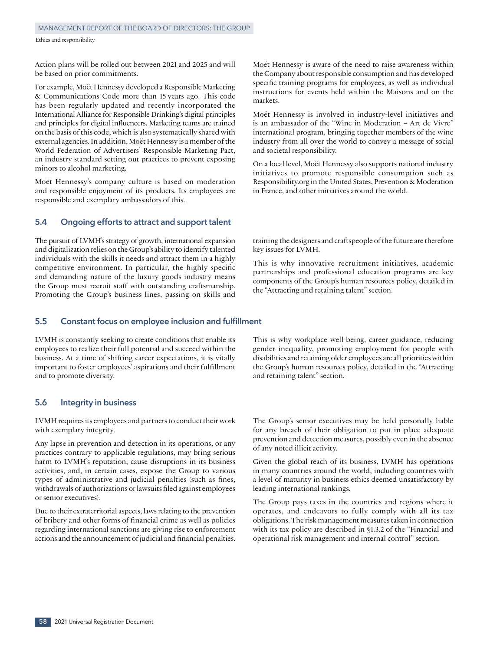Action plans will be rolled out between 2021 and 2025 and will be based on prior commitments.

For example, Moët Hennessy developed a Responsible Marketing & Communications Code more than 15 years ago. This code has been regularly updated and recently incorporated the International Alliance for Responsible Drinking's digital principles and principles for digital influencers. Marketing teams are trained on the basis of this code, which is also systematically shared with external agencies. In addition, Moët Hennessy is a member of the World Federation of Advertisers' Responsible Marketing Pact, an industry standard setting out practices to prevent exposing minors to alcohol marketing.

Moët Hennessy's company culture is based on moderation and responsible enjoyment of its products. Its employees are responsible and exemplary ambassadors of this.

## **5.4 Ongoing efforts to attract and support talent**

The pursuit of LVMH's strategy of growth, international expansion and digitalization relies on the Group's ability to identify talented individuals with the skills it needs and attract them in a highly competitive environment. In particular, the highly specific and demanding nature of the luxury goods industry means the Group must recruit staff with outstanding craftsmanship. Promoting the Group's business lines, passing on skills and

Moët Hennessy is aware of the need to raise awareness within the Company about responsible consumption and has developed specific training programs for employees, as well as individual instructions for events held within the Maisons and on the markets.

Moët Hennessy is involved in industry‑level initiatives and is an ambassador of the "Wine in Moderation – Art de Vivre" international program, bringing together members of the wine industry from all over the world to convey a message of social and societal responsibility.

On a local level, Moët Hennessy also supports national industry initiatives to promote responsible consumption such as Responsibility.org in the United States, Prevention & Moderation in France, and other initiatives around the world.

training the designers and craftspeople of the future are therefore key issues for LVMH.

This is why innovative recruitment initiatives, academic partnerships and professional education programs are key components of the Group's human resources policy, detailed in the "Attracting and retaining talent" section.

## **5.5 Constant focus on employee inclusion and fulfillment**

LVMH is constantly seeking to create conditions that enable its employees to realize their full potential and succeed within the business. At a time of shifting career expectations, it is vitally important to foster employees' aspirations and their fulfillment and to promote diversity.

## **5.6 Integrity in business**

LVMH requires its employees and partners to conduct their work with exemplary integrity.

Any lapse in prevention and detection in its operations, or any practices contrary to applicable regulations, may bring serious harm to LVMH's reputation, cause disruptions in its business activities, and, in certain cases, expose the Group to various types of administrative and judicial penalties (such as fines, withdrawals of authorizations or lawsuits filed against employees or senior executives).

Due to their extraterritorial aspects, laws relating to the prevention of bribery and other forms of financial crime as well as policies regarding international sanctions are giving rise to enforcement actions and the announcement of judicial and financial penalties. This is why workplace well-being, career guidance, reducing gender inequality, promoting employment for people with disabilities and retaining older employees are all priorities within the Group's human resources policy, detailed in the "Attracting and retaining talent" section.

The Group's senior executives may be held personally liable for any breach of their obligation to put in place adequate prevention and detection measures, possibly even in the absence of any noted illicit activity.

Given the global reach of its business, LVMH has operations in many countries around the world, including countries with a level of maturity in business ethics deemed unsatisfactory by leading international rankings.

The Group pays taxes in the countries and regions where it operates, and endeavors to fully comply with all its tax obligations. The risk management measures taken in connection with its tax policy are described in §1.3.2 of the "Financial and operational risk management and internal control" section.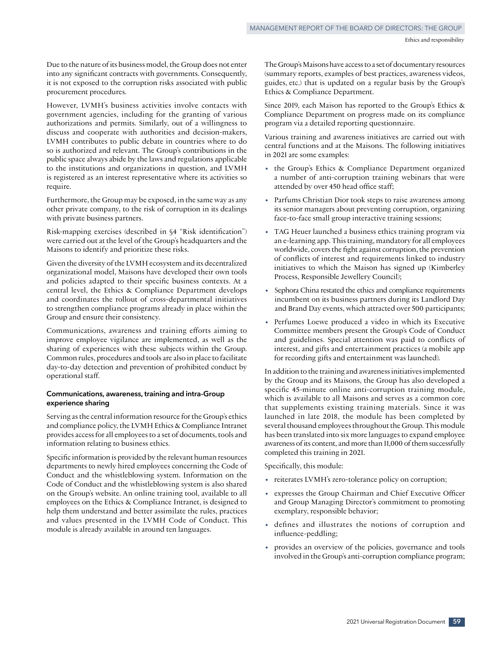Due to the nature of its business model, the Group does not enter into any significant contracts with governments. Consequently, it is not exposed to the corruption risks associated with public procurement procedures.

However, LVMH's business activities involve contacts with government agencies, including for the granting of various authorizations and permits. Similarly, out of a willingness to discuss and cooperate with authorities and decision‑makers, LVMH contributes to public debate in countries where to do so is authorized and relevant. The Group's contributions in the public space always abide by the laws and regulations applicable to the institutions and organizations in question, and LVMH is registered as an interest representative where its activities so require.

Furthermore, the Group may be exposed, in the same way as any other private company, to the risk of corruption in its dealings with private business partners.

Risk-mapping exercises (described in §4 "Risk identification") were carried out at the level of the Group's headquarters and the Maisons to identify and prioritize these risks.

Given the diversity of the LVMH ecosystem and its decentralized organizational model, Maisons have developed their own tools and policies adapted to their specific business contexts. At a central level, the Ethics & Compliance Department develops and coordinates the rollout of cross-departmental initiatives to strengthen compliance programs already in place within the Group and ensure their consistency.

Communications, awareness and training efforts aiming to improve employee vigilance are implemented, as well as the sharing of experiences with these subjects within the Group. Common rules, procedures and tools are also in place to facilitate day‑to‑day detection and prevention of prohibited conduct by operational staff.

### **Communications, awareness, training and intra-Group experience sharing**

Serving as the central information resource for the Group's ethics and compliance policy, the LVMH Ethics & Compliance Intranet provides access for all employees to a set of documents, tools and information relating to business ethics.

Specific information is provided by the relevant human resources departments to newly hired employees concerning the Code of Conduct and the whistleblowing system. Information on the Code of Conduct and the whistleblowing system is also shared on the Group's website. An online training tool, available to all employees on the Ethics & Compliance Intranet, is designed to help them understand and better assimilate the rules, practices and values presented in the LVMH Code of Conduct. This module is already available in around ten languages.

The Group's Maisons have access to a set of documentary resources (summary reports, examples of best practices, awareness videos, guides, etc.) that is updated on a regular basis by the Group's Ethics & Compliance Department.

Since 2019, each Maison has reported to the Group's Ethics & Compliance Department on progress made on its compliance program via a detailed reporting questionnaire.

Various training and awareness initiatives are carried out with central functions and at the Maisons. The following initiatives in 2021 are some examples:

- the Group's Ethics & Compliance Department organized a number of anti-corruption training webinars that were attended by over 450 head office staff;
- Parfums Christian Dior took steps to raise awareness among its senior managers about preventing corruption, organizing face-to-face small group interactive training sessions;
- TAG Heuer launched a business ethics training program via an e‑learning app. This training, mandatory for all employees worldwide, covers the fight against corruption, the prevention of conflicts of interest and requirements linked to industry initiatives to which the Maison has signed up (Kimberley Process, Responsible Jewellery Council);
- Sephora China restated the ethics and compliance requirements incumbent on its business partners during its Landlord Day and Brand Day events, which attracted over 500 participants;
- Perfumes Loewe produced a video in which its Executive Committee members present the Group's Code of Conduct and guidelines. Special attention was paid to conflicts of interest, and gifts and entertainment practices (a mobile app for recording gifts and entertainment was launched).

In addition to the training and awareness initiatives implemented by the Group and its Maisons, the Group has also developed a specific 45-minute online anti-corruption training module, which is available to all Maisons and serves as a common core that supplements existing training materials. Since it was launched in late 2018, the module has been completed by several thousand employees throughout the Group. This module has been translated into six more languages to expand employee awareness of its content, and more than 11,000 of them successfully completed this training in 2021.

Specifically, this module:

- reiterates LVMH's zero-tolerance policy on corruption;
- expresses the Group Chairman and Chief Executive Officer and Group Managing Director's commitment to promoting exemplary, responsible behavior;
- defines and illustrates the notions of corruption and influence‑peddling;
- provides an overview of the policies, governance and tools involved in the Group's anti‑corruption compliance program;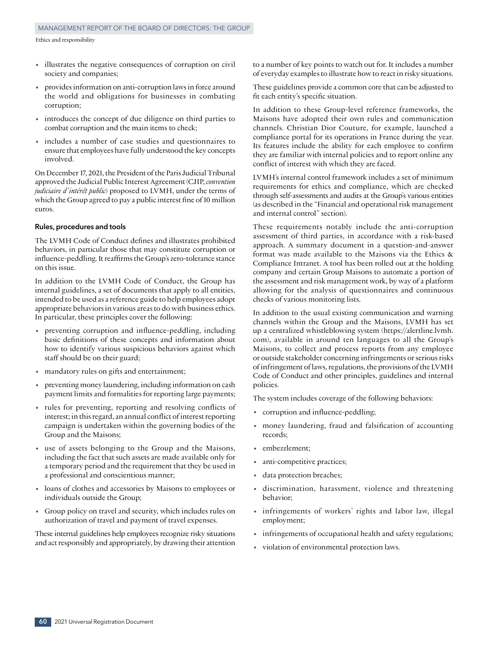- illustrates the negative consequences of corruption on civil society and companies;
- provides information on anti‑corruption laws in force around the world and obligations for businesses in combating corruption;
- introduces the concept of due diligence on third parties to combat corruption and the main items to check;
- includes a number of case studies and questionnaires to ensure that employees have fully understood the key concepts involved.

On December17, 2021, the President of the Paris Judicial Tribunal approved the Judicial Public Interest Agreement (CJIP, *convention judiciaire d'intérêt public*) proposed to LVMH, under the terms of which the Group agreed to pay a public interest fine of 10 million euros.

#### **Rules, procedures and tools**

The LVMH Code of Conduct defines and illustrates prohibited behaviors, in particular those that may constitute corruption or influence-peddling. It reaffirms the Group's zero-tolerance stance on this issue.

In addition to the LVMH Code of Conduct, the Group has internal guidelines, a set of documents that apply to all entities, intended to be used as a reference guide to help employees adopt appropriate behaviors in various areas to do with business ethics. In particular, these principles cover the following:

- preventing corruption and influence-peddling, including basic definitions of these concepts and information about how to identify various suspicious behaviors against which staff should be on their guard;
- mandatory rules on gifts and entertainment;
- preventing money laundering, including information on cash payment limits and formalities for reporting large payments;
- rules for preventing, reporting and resolving conflicts of interest; in this regard, an annual conflict of interest reporting campaign is undertaken within the governing bodies of the Group and the Maisons;
- use of assets belonging to the Group and the Maisons, including the fact that such assets are made available only for a temporary period and the requirement that they be used in a professional and conscientious manner;
- loans of clothes and accessories by Maisons to employees or individuals outside the Group;
- Group policy on travel and security, which includes rules on authorization of travel and payment of travel expenses.

These internal guidelines help employees recognize risky situations and act responsibly and appropriately, by drawing their attention

to a number of key points to watch out for. It includes a number of everyday examples to illustrate how to react in risky situations.

These guidelines provide a common core that can be adjusted to fit each entity's specific situation.

In addition to these Group‑level reference frameworks, the Maisons have adopted their own rules and communication channels. Christian Dior Couture, for example, launched a compliance portal for its operations in France during the year. Its features include the ability for each employee to confirm they are familiar with internal policies and to report online any conflict of interest with which they are faced.

LVMH's internal control framework includes a set of minimum requirements for ethics and compliance, which are checked through self‑assessments and audits at the Group's various entities (as described in the "Financial and operational risk management and internal control" section).

These requirements notably include the anti-corruption assessment of third parties, in accordance with a risk-based approach. A summary document in a question‑and‑answer format was made available to the Maisons via the Ethics & Compliance Intranet. A tool has been rolled out at the holding company and certain Group Maisons to automate a portion of the assessment and risk management work, by way of a platform allowing for the analysis of questionnaires and continuous checks of various monitoring lists.

In addition to the usual existing communication and warning channels within the Group and the Maisons, LVMH has set up a centralized whistleblowing system (https://alertline.lvmh. com), available in around ten languages to all the Group's Maisons, to collect and process reports from any employee or outside stakeholder concerning infringements or serious risks of infringement of laws, regulations, the provisions of the LVMH Code of Conduct and other principles, guidelines and internal policies.

The system includes coverage of the following behaviors:

- corruption and influence-peddling;
- money laundering, fraud and falsification of accounting records;
- embezzlement;
- anti-competitive practices;
- data protection breaches;
- discrimination, harassment, violence and threatening behavior;
- infringements of workers' rights and labor law, illegal employment;
- infringements of occupational health and safety regulations;
- violation of environmental protection laws.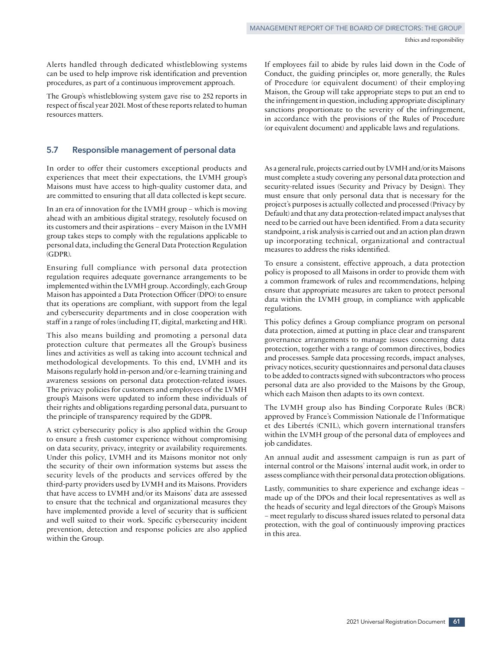Alerts handled through dedicated whistleblowing systems can be used to help improve risk identification and prevention procedures, as part of a continuous improvement approach.

The Group's whistleblowing system gave rise to 252 reports in respect of fiscal year 2021. Most of these reports related to human resources matters.

## **5.7 Responsible management of personal data**

In order to offer their customers exceptional products and experiences that meet their expectations, the LVMH group's Maisons must have access to high-quality customer data, and are committed to ensuring that all data collected is kept secure.

In an era of innovation for the LVMH group – which is moving ahead with an ambitious digital strategy, resolutely focused on its customers and their aspirations – every Maison in the LVMH group takes steps to comply with the regulations applicable to personal data, including the General Data Protection Regulation (GDPR).

Ensuring full compliance with personal data protection regulation requires adequate governance arrangements to be implemented within the LVMH group. Accordingly, each Group Maison has appointed a Data Protection Officer (DPO) to ensure that its operations are compliant, with support from the legal and cybersecurity departments and in close cooperation with staff in a range of roles (including IT, digital, marketing and HR).

This also means building and promoting a personal data protection culture that permeates all the Group's business lines and activities as well as taking into account technical and methodological developments. To this end, LVMH and its Maisons regularly hold in-person and/or e-learning training and awareness sessions on personal data protection‑related issues. The privacy policies for customers and employees of the LVMH group's Maisons were updated to inform these individuals of their rights and obligations regarding personal data, pursuant to the principle of transparency required by the GDPR.

A strict cybersecurity policy is also applied within the Group to ensure a fresh customer experience without compromising on data security, privacy, integrity or availability requirements. Under this policy, LVMH and its Maisons monitor not only the security of their own information systems but assess the security levels of the products and services offered by the third‑party providers used by LVMH and its Maisons. Providers that have access to LVMH and/or its Maisons' data are assessed to ensure that the technical and organizational measures they have implemented provide a level of security that is sufficient and well suited to their work. Specific cybersecurity incident prevention, detection and response policies are also applied within the Group.

If employees fail to abide by rules laid down in the Code of Conduct, the guiding principles or, more generally, the Rules of Procedure (or equivalent document) of their employing Maison, the Group will take appropriate steps to put an end to the infringement in question, including appropriate disciplinary sanctions proportionate to the severity of the infringement, in accordance with the provisions of the Rules of Procedure (or equivalent document) and applicable laws and regulations.

As a general rule, projects carried out by LVMH and/or its Maisons must complete a study covering any personal data protection and security-related issues (Security and Privacy by Design). They must ensure that only personal data that is necessary for the project's purposes is actually collected and processed (Privacy by Default) and that any data protection‑related impact analyses that need to be carried out have been identified. From a data security standpoint, a risk analysis is carried out and an action plan drawn up incorporating technical, organizational and contractual measures to address the risks identified.

To ensure a consistent, effective approach, a data protection policy is proposed to all Maisons in order to provide them with a common framework of rules and recommendations, helping ensure that appropriate measures are taken to protect personal data within the LVMH group, in compliance with applicable regulations.

This policy defines a Group compliance program on personal data protection, aimed at putting in place clear and transparent governance arrangements to manage issues concerning data protection, together with a range of common directives, bodies and processes. Sample data processing records, impact analyses, privacy notices, security questionnaires and personal data clauses to be added to contracts signed with subcontractors who process personal data are also provided to the Maisons by the Group, which each Maison then adapts to its own context.

The LVMH group also has Binding Corporate Rules (BCR) approved by France's Commission Nationale de l'Informatique et des Libertés (CNIL), which govern international transfers within the LVMH group of the personal data of employees and job candidates.

An annual audit and assessment campaign is run as part of internal control or the Maisons' internal audit work, in order to assess compliance with their personal data protection obligations.

Lastly, communities to share experience and exchange ideas – made up of the DPOs and their local representatives as well as the heads of security and legal directors of the Group's Maisons – meet regularly to discuss shared issues related to personal data protection, with the goal of continuously improving practices in this area.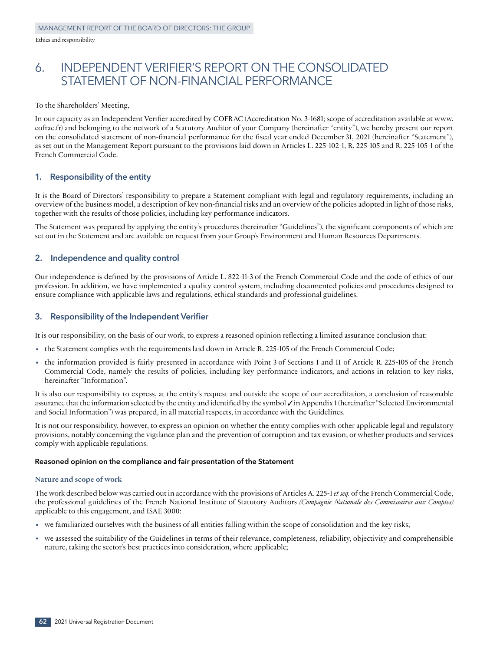## 6. INDEPENDENT VERIFIER'S REPORT ON THE CONSOLIDATED STATEMENT OF NON-FINANCIAL PERFORMANCE

To the Shareholders' Meeting,

In our capacity as an Independent Verifier accredited by COFRAC (Accreditation No. 3‑1681; scope of accreditation available at www. cofrac.fr) and belonging to the network of a Statutory Auditor of your Company (hereinafter "entity"), we hereby present our report on the consolidated statement of non-financial performance for the fiscal year ended December 31, 2021 (hereinafter "Statement"), as set out in the Management Report pursuant to the provisions laid down in Articles L. 225‑102‑1, R. 225‑105 and R. 225‑105‑1 of the French Commercial Code.

## **1. Responsibility of the entity**

It is the Board of Directors' responsibility to prepare a Statement compliant with legal and regulatory requirements, including an overview of the business model, a description of key non‑financial risks and an overview of the policies adopted in light of those risks, together with the results of those policies, including key performance indicators.

The Statement was prepared by applying the entity's procedures (hereinafter "Guidelines"), the significant components of which are set out in the Statement and are available on request from your Group's Environment and Human Resources Departments.

## **2. Independence and quality control**

Our independence is defined by the provisions of Article L. 822‑11‑3 of the French Commercial Code and the code of ethics of our profession. In addition, we have implemented a quality control system, including documented policies and procedures designed to ensure compliance with applicable laws and regulations, ethical standards and professional guidelines.

## **3. Responsibility of the Independent Verifier**

It is our responsibility, on the basis of our work, to express a reasoned opinion reflecting a limited assurance conclusion that:

- the Statement complies with the requirements laid down in Article R. 225-105 of the French Commercial Code;
- the information provided is fairly presented in accordance with Point 3 of Sections I and II of Article R. 225-105 of the French Commercial Code, namely the results of policies, including key performance indicators, and actions in relation to key risks, hereinafter "Information".

It is also our responsibility to express, at the entity's request and outside the scope of our accreditation, a conclusion of reasonable assurance that the information selected by the entity and identified by the symbol  $\checkmark$  in Appendix 1 (hereinafter "Selected Environmental and Social Information") was prepared, in all material respects, in accordance with the Guidelines.

It is not our responsibility, however, to express an opinion on whether the entity complies with other applicable legal and regulatory provisions, notably concerning the vigilance plan and the prevention of corruption and tax evasion, or whether products and services comply with applicable regulations.

## **Reasoned opinion on the compliance and fair presentation of the Statement**

## **Nature and scope of work**

The work described below was carried out in accordance with the provisions of Articles A. 225‑1 *et seq.* of the French Commercial Code, the professional guidelines of the French National Institute of Statutory Auditors *(Compagnie Nationale des Commissaires aux Comptes)*  applicable to this engagement, and ISAE 3000:

- we familiarized ourselves with the business of all entities falling within the scope of consolidation and the key risks;
- we assessed the suitability of the Guidelines in terms of their relevance, completeness, reliability, objectivity and comprehensible nature, taking the sector's best practices into consideration, where applicable;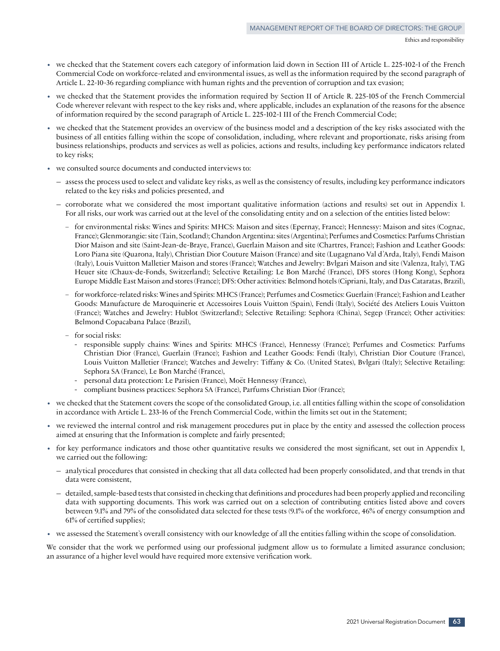- we checked that the Statement covers each category of information laid down in Section III of Article L. 225-102-1 of the French Commercial Code on workforce‑related and environmental issues, as well as the information required by the second paragraph of Article L. 22‑10‑36 regarding compliance with human rights and the prevention of corruption and tax evasion;
- we checked that the Statement provides the information required by Section II of Article R. 225‑105 of the French Commercial Code wherever relevant with respect to the key risks and, where applicable, includes an explanation of the reasons for the absence of information required by the second paragraph of Article L. 225-102-1 III of the French Commercial Code;
- we checked that the Statement provides an overview of the business model and a description of the key risks associated with the business of all entities falling within the scope of consolidation, including, where relevant and proportionate, risks arising from business relationships, products and services as well as policies, actions and results, including key performance indicators related to key risks;
- we consulted source documents and conducted interviews to:
	- assess the process used to select and validate key risks, as well as the consistency of results, including key performance indicators related to the key risks and policies presented, and
	- corroborate what we considered the most important qualitative information (actions and results) set out in Appendix 1. For all risks, our work was carried out at the level of the consolidating entity and on a selection of the entities listed below:
		- **–** for environmental risks: Wines and Spirits: MHCS: Maison and sites (Epernay, France); Hennessy: Maison and sites (Cognac, France); Glenmorangie: site (Tain, Scotland); Chandon Argentina: sites (Argentina); Perfumes and Cosmetics: Parfums Christian Dior Maison and site (Saint-Jean‑de-Braye, France), Guerlain Maison and site (Chartres, France); Fashion and Leather Goods: Loro Piana site (Quarona, Italy), Christian Dior Couture Maison (France) and site (Lugagnano Val d'Arda, Italy), Fendi Maison (Italy), Louis Vuitton Malletier Maison and stores (France); Watches and Jewelry: Bvlgari Maison and site (Valenza, Italy), TAG Heuer site (Chaux‑de-Fonds, Switzerland); Selective Retailing: Le Bon Marché (France), DFS stores (Hong Kong), Sephora Europe Middle East Maison and stores (France); DFS: Other activities: Belmond hotels (Cipriani, Italy, and Das Cataratas, Brazil),
		- **–** for workforce‑related risks: Wines and Spirits: MHCS (France); Perfumes and Cosmetics: Guerlain (France); Fashion and Leather Goods: Manufacture de Maroquinerie et Accessoires Louis Vuitton (Spain), Fendi (Italy), Société des Ateliers Louis Vuitton (France); Watches and Jewelry: Hublot (Switzerland); Selective Retailing: Sephora (China), Segep (France); Other activities: Belmond Copacabana Palace (Brazil),
		- **–** for social risks:
			- **-** responsible supply chains: Wines and Spirits: MHCS (France), Hennessy (France); Perfumes and Cosmetics: Parfums Christian Dior (France), Guerlain (France); Fashion and Leather Goods: Fendi (Italy), Christian Dior Couture (France), Louis Vuitton Malletier (France); Watches and Jewelry: Tiffany & Co. (United States), Bvlgari (Italy); Selective Retailing: Sephora SA (France), Le Bon Marché (France),
			- **-** personal data protection: Le Parisien (France), Moët Hennessy (France),
			- **-** compliant business practices: Sephora SA (France), Parfums Christian Dior (France);
- we checked that the Statement covers the scope of the consolidated Group, i.e. all entities falling within the scope of consolidation in accordance with Article L. 233‑16 of the French Commercial Code, within the limits set out in the Statement;
- we reviewed the internal control and risk management procedures put in place by the entity and assessed the collection process aimed at ensuring that the Information is complete and fairly presented;
- for key performance indicators and those other quantitative results we considered the most significant, set out in Appendix 1, we carried out the following:
	- analytical procedures that consisted in checking that all data collected had been properly consolidated, and that trends in that data were consistent,
	- detailed, sample‑based tests that consisted in checking that definitions and procedures had been properly applied and reconciling data with supporting documents. This work was carried out on a selection of contributing entities listed above and covers between 9.1% and 79% of the consolidated data selected for these tests (9.1% of the workforce, 46% of energy consumption and 61% of certified supplies);
- we assessed the Statement's overall consistency with our knowledge of all the entities falling within the scope of consolidation.

We consider that the work we performed using our professional judgment allow us to formulate a limited assurance conclusion; an assurance of a higher level would have required more extensive verification work.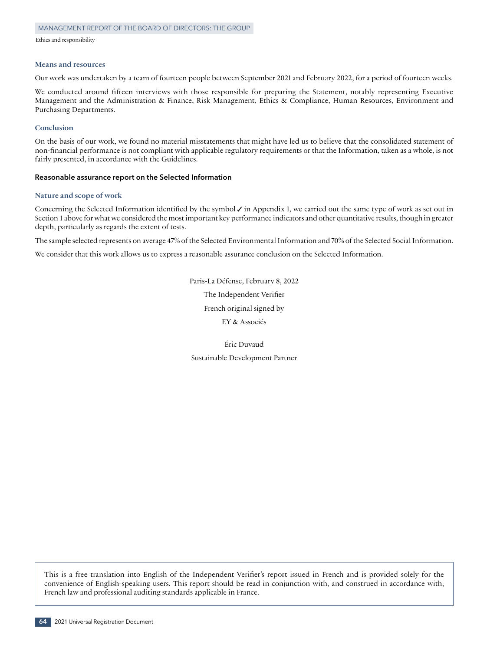#### **Means and resources**

Our work was undertaken by a team of fourteen people between September 2021 and February 2022, for a period of fourteen weeks.

We conducted around fifteen interviews with those responsible for preparing the Statement, notably representing Executive Management and the Administration & Finance, Risk Management, Ethics & Compliance, Human Resources, Environment and Purchasing Departments.

## **Conclusion**

On the basis of our work, we found no material misstatements that might have led us to believe that the consolidated statement of non‑financial performance is not compliant with applicable regulatory requirements or that the Information, taken as a whole, is not fairly presented, in accordance with the Guidelines.

#### **Reasonable assurance report on the Selected Information**

#### **Nature and scope of work**

Concerning the Selected Information identified by the symbol  $\checkmark$  in Appendix 1, we carried out the same type of work as set out in Section 1 above for what we considered the most important key performance indicators and other quantitative results, though in greater depth, particularly as regards the extent of tests.

The sample selected represents on average 47% of the Selected Environmental Information and 70% of the Selected Social Information.

We consider that this work allows us to express a reasonable assurance conclusion on the Selected Information.

Paris-La Défense, February 8, 2022 The Independent Verifier French original signed by EY & Associés

Éric Duvaud Sustainable Development Partner

This is a free translation into English of the Independent Verifier's report issued in French and is provided solely for the convenience of English-speaking users. This report should be read in conjunction with, and construed in accordance with, French law and professional auditing standards applicable in France.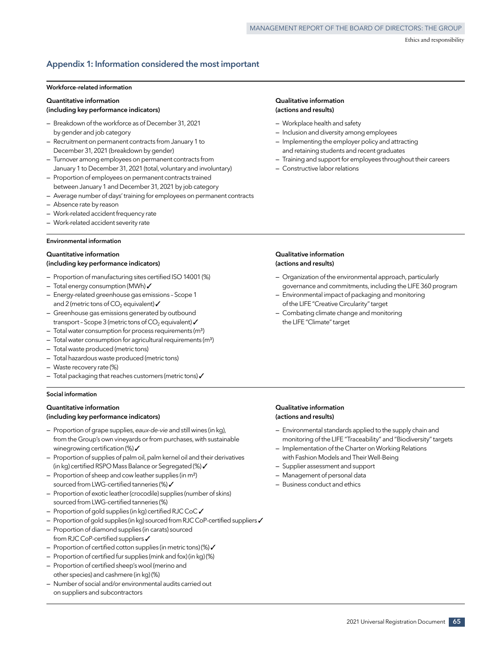## **Appendix 1: Information considered the most important**

#### **Workforce‑related information**

#### **Quantitative information**

### **(including key performance indicators)**

- Breakdown of the workforce as of December 31, 2021 by gender and job category
- Recruitment on permanent contracts from January 1 to December 31, 2021 (breakdown by gender)
- Turnover among employees on permanent contracts from January 1 to December 31, 2021 (total, voluntary and involuntary)
- Proportion of employees on permanent contracts trained between January 1 and December 31, 2021 by job category
- Average number of days' training for employees on permanent contracts
- Absence rate by reason
- Work‑related accident frequency rate
- Work‑related accident severity rate

#### **Environmental information**

## **Quantitative information (including key performance indicators)**

- Proportion of manufacturing sites certified ISO 14001 (%)
- $-$  Total energy consumption (MWh) $\checkmark$
- Energy‑related greenhouse gas emissions Scope 1 and 2 (metric tons of CO<sub>2</sub> equivalent)  $\checkmark$
- Greenhouse gas emissions generated by outbound transport - Scope 3 (metric tons of  $CO<sub>2</sub>$  equivalent)  $\checkmark$
- $-$  Total water consumption for process requirements (m<sup>3</sup>)
- $-$  Total water consumption for agricultural requirements (m<sup>3</sup>)
- Total waste produced (metric tons)
- Total hazardous waste produced (metric tons)
- Waste recovery rate (%)
- $-$  Total packaging that reaches customers (metric tons)  $\checkmark$

#### **Social information**

### **Quantitative information (including key performance indicators)**

- Proportion of grape supplies, *eaux‑de‑vie* and still wines (in kg), from the Group's own vineyards or from purchases, with sustainable winegrowing certification (%) $\checkmark$
- Proportion of supplies of palm oil, palm kernel oil and their derivatives (in kg) certified RSPO Mass Balance or Segregated (%)  $\checkmark$
- Proportion of sheep and cow leather supplies (in m²) sourced from LWG-certified tanneries (%) /
- Proportion of exotic leather (crocodile) supplies (number of skins) sourced from LWG-certified tanneries (%)
- $-$  Proportion of gold supplies (in kg) certified RJC CoC  $\checkmark$
- $-$  Proportion of gold supplies (in kg) sourced from RJC CoP-certified suppliers  $\checkmark$
- Proportion of diamond supplies (in carats) sourced from RJC CoP-certified suppliers  $\checkmark$
- Proportion of certified cotton supplies (in metric tons) (%)  $\checkmark$
- Proportion of certified fur supplies (mink and fox) (in kg) (%)
- Proportion of certified sheep's wool (merino and other species) and cashmere (in kg) (%)
- Number of social and/or environmental audits carried out on suppliers and subcontractors

#### **Qualitative information (actions and results)**

- Workplace health and safety
- Inclusion and diversity among employees
- Implementing the employer policy and attracting and retaining students and recent graduates
- Training and support for employees throughout their careers
- Constructive labor relations

### **Qualitative information (actions and results)**

- Organization of the environmental approach, particularly governance and commitments, including the LIFE 360 program
- Environmental impact of packaging and monitoring of the LIFE "Creative Circularity" target
- Combating climate change and monitoring the LIFE "Climate" target

### **Qualitative information (actions and results)**

- Environmental standards applied to the supply chain and monitoring of the LIFE "Traceability" and "Biodiversity" targets
- Implementation of the Charter on Working Relations with Fashion Models and Their Well-Being
- Supplier assessment and support
- Management of personal data
- Business conduct and ethics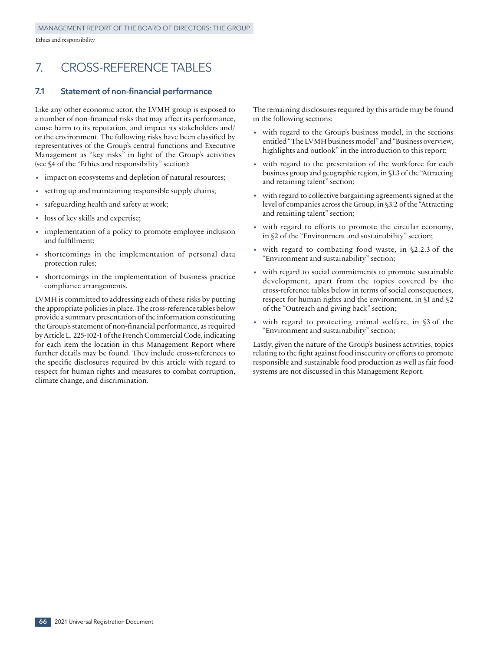## 7. CROSS-REFERENCE TABLES

## **7.1 Statement of non‑financial performance**

Like any other economic actor, the LVMH group is exposed to a number of non-financial risks that may affect its performance, cause harm to its reputation, and impact its stakeholders and/ or the environment. The following risks have been classified by representatives of the Group's central functions and Executive Management as "key risks" in light of the Group's activities (see §4 of the "Ethics and responsibility" section):

- impact on ecosystems and depletion of natural resources;
- setting up and maintaining responsible supply chains;
- safeguarding health and safety at work;
- loss of key skills and expertise;
- implementation of a policy to promote employee inclusion and fulfillment;
- shortcomings in the implementation of personal data protection rules;
- shortcomings in the implementation of business practice compliance arrangements.

LVMH is committed to addressing each of these risks by putting the appropriate policies in place. The cross-reference tables below provide a summary presentation of the information constituting the Group's statement of non‑financial performance, as required by Article L. 225‑102‑1 of the French Commercial Code, indicating for each item the location in this Management Report where further details may be found. They include cross-references to the specific disclosures required by this article with regard to respect for human rights and measures to combat corruption, climate change, and discrimination.

The remaining disclosures required by this article may be found in the following sections:

- with regard to the Group's business model, in the sections entitled "The LVMH business model" and "Business overview, highlights and outlook" in the introduction to this report;
- with regard to the presentation of the workforce for each business group and geographic region, in §1.3 of the "Attracting and retaining talent" section;
- with regard to collective bargaining agreements signed at the level of companies across the Group, in §3.2 of the "Attracting and retaining talent" section;
- with regard to efforts to promote the circular economy, in §2 of the "Environment and sustainability" section;
- with regard to combating food waste, in §2.2.3 of the "Environment and sustainability" section;
- with regard to social commitments to promote sustainable development, apart from the topics covered by the cross‑reference tables below in terms of social consequences, respect for human rights and the environment, in §1 and §2 of the "Outreach and giving back" section;
- with regard to protecting animal welfare, in §3 of the "Environment and sustainability" section;

Lastly, given the nature of the Group's business activities, topics relating to the fight against food insecurity or efforts to promote responsible and sustainable food production as well as fair food systems are not discussed in this Management Report.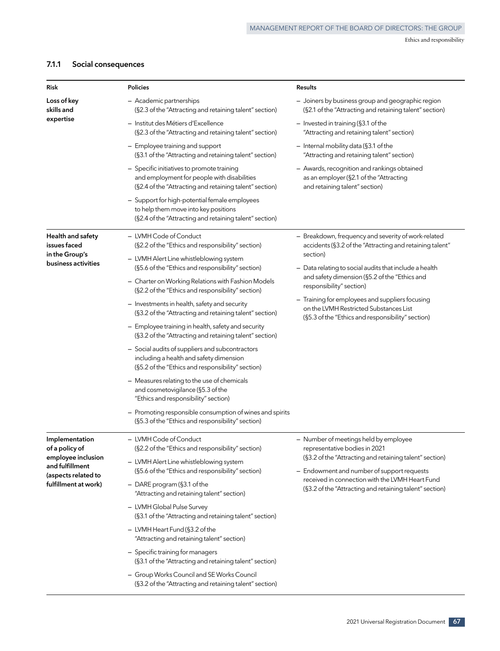## **7.1.1 Social consequences**

| Risk                                                         | <b>Policies</b>                                                                                                                                                                                         | <b>Results</b>                                                                                                                                 |
|--------------------------------------------------------------|---------------------------------------------------------------------------------------------------------------------------------------------------------------------------------------------------------|------------------------------------------------------------------------------------------------------------------------------------------------|
| Loss of key<br>skills and                                    | - Academic partnerships<br>(§2.3 of the "Attracting and retaining talent" section)                                                                                                                      | - Joiners by business group and geographic region<br>(§2.1 of the "Attracting and retaining talent" section)                                   |
| expertise                                                    | - Institut des Métiers d'Excellence<br>(§2.3 of the "Attracting and retaining talent" section)                                                                                                          | - Invested in training (§3.1 of the<br>"Attracting and retaining talent" section)                                                              |
|                                                              | - Employee training and support<br>(§3.1 of the "Attracting and retaining talent" section)                                                                                                              | - Internal mobility data (§3.1 of the<br>"Attracting and retaining talent" section)                                                            |
|                                                              | - Specific initiatives to promote training<br>and employment for people with disabilities<br>(§2.4 of the "Attracting and retaining talent" section)                                                    | - Awards, recognition and rankings obtained<br>as an employer (§2.1 of the "Attracting<br>and retaining talent" section)                       |
|                                                              | - Support for high-potential female employees<br>to help them move into key positions<br>(§2.4 of the "Attracting and retaining talent" section)                                                        |                                                                                                                                                |
| Health and safety<br>issues faced<br>in the Group's          | - LVMH Code of Conduct<br>(§2.2 of the "Ethics and responsibility" section)                                                                                                                             | - Breakdown, frequency and severity of work-related<br>accidents (§3.2 of the "Attracting and retaining talent"<br>section)                    |
| business activities                                          | - LVMH Alert Line whistleblowing system<br>(§5.6 of the "Ethics and responsibility" section)<br>- Charter on Working Relations with Fashion Models<br>(§2.2 of the "Ethics and responsibility" section) | - Data relating to social audits that include a health<br>and safety dimension (§5.2 of the "Ethics and<br>responsibility" section)            |
|                                                              | - Investments in health, safety and security<br>(§3.2 of the "Attracting and retaining talent" section)                                                                                                 | - Training for employees and suppliers focusing<br>on the LVMH Restricted Substances List<br>(§5.3 of the "Ethics and responsibility" section) |
|                                                              | - Employee training in health, safety and security<br>(§3.2 of the "Attracting and retaining talent" section)                                                                                           |                                                                                                                                                |
|                                                              | - Social audits of suppliers and subcontractors<br>including a health and safety dimension<br>(§5.2 of the "Ethics and responsibility" section)                                                         |                                                                                                                                                |
|                                                              | - Measures relating to the use of chemicals<br>and cosmetovigilance (§5.3 of the<br>"Ethics and responsibility" section)                                                                                |                                                                                                                                                |
|                                                              | - Promoting responsible consumption of wines and spirits<br>(§5.3 of the "Ethics and responsibility" section)                                                                                           |                                                                                                                                                |
| Implementation<br>of a policy of                             | - LVMH Code of Conduct<br>(§2.2 of the "Ethics and responsibility" section)                                                                                                                             | - Number of meetings held by employee<br>representative bodies in 2021                                                                         |
| employee inclusion<br>and fulfillment<br>(aspects related to | - LVMH Alert Line whistleblowing system<br>(§5.6 of the "Ethics and responsibility" section)                                                                                                            | (§3.2 of the "Attracting and retaining talent" section)<br>- Endowment and number of support requests                                          |
| fulfillment at work)                                         | $-$ DARE program (§3.1 of the<br>"Attracting and retaining talent" section)                                                                                                                             | received in connection with the LVMH Heart Fund<br>(§3.2 of the "Attracting and retaining talent" section)                                     |
|                                                              | - LVMH Global Pulse Survey<br>(§3.1 of the "Attracting and retaining talent" section)                                                                                                                   |                                                                                                                                                |
|                                                              | - LVMH Heart Fund (§3.2 of the<br>"Attracting and retaining talent" section)                                                                                                                            |                                                                                                                                                |
|                                                              | - Specific training for managers<br>(§3.1 of the "Attracting and retaining talent" section)                                                                                                             |                                                                                                                                                |
|                                                              | - Group Works Council and SE Works Council<br>(§3.2 of the "Attracting and retaining talent" section)                                                                                                   |                                                                                                                                                |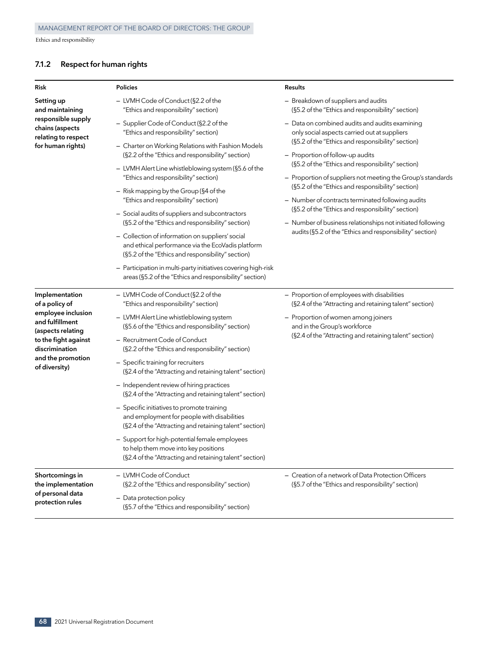## **7.1.2 Respect for human rights**

| Risk                                                                                                                      | <b>Policies</b>                                                                                                                                                                                                                                                                                                                                                                                                                                                                                                                                                                                                                                                                             | <b>Results</b>                                                                                                                                                                                            |
|---------------------------------------------------------------------------------------------------------------------------|---------------------------------------------------------------------------------------------------------------------------------------------------------------------------------------------------------------------------------------------------------------------------------------------------------------------------------------------------------------------------------------------------------------------------------------------------------------------------------------------------------------------------------------------------------------------------------------------------------------------------------------------------------------------------------------------|-----------------------------------------------------------------------------------------------------------------------------------------------------------------------------------------------------------|
| Setting up<br>and maintaining                                                                                             | - LVMH Code of Conduct (§2.2 of the<br>"Ethics and responsibility" section)                                                                                                                                                                                                                                                                                                                                                                                                                                                                                                                                                                                                                 | - Breakdown of suppliers and audits<br>(§5.2 of the "Ethics and responsibility" section)                                                                                                                  |
| responsible supply<br>chains (aspects<br>relating to respect                                                              | - Supplier Code of Conduct (§2.2 of the<br>"Ethics and responsibility" section)                                                                                                                                                                                                                                                                                                                                                                                                                                                                                                                                                                                                             | - Data on combined audits and audits examining<br>only social aspects carried out at suppliers                                                                                                            |
| for human rights)                                                                                                         | - Charter on Working Relations with Fashion Models<br>(§2.2 of the "Ethics and responsibility" section)<br>- LVMH Alert Line whistleblowing system (§5.6 of the<br>"Ethics and responsibility" section)<br>- Risk mapping by the Group (§4 of the<br>"Ethics and responsibility" section)<br>- Social audits of suppliers and subcontractors<br>(§5.2 of the "Ethics and responsibility" section)<br>- Collection of information on suppliers' social<br>and ethical performance via the EcoVadis platform<br>(§5.2 of the "Ethics and responsibility" section)<br>- Participation in multi-party initiatives covering high-risk<br>areas (§5.2 of the "Ethics and responsibility" section) | (§5.2 of the "Ethics and responsibility" section)<br>- Proportion of follow-up audits<br>(§5.2 of the "Ethics and responsibility" section)<br>- Proportion of suppliers not meeting the Group's standards |
|                                                                                                                           |                                                                                                                                                                                                                                                                                                                                                                                                                                                                                                                                                                                                                                                                                             | (§5.2 of the "Ethics and responsibility" section)<br>- Number of contracts terminated following audits<br>(§5.2 of the "Ethics and responsibility" section)                                               |
|                                                                                                                           |                                                                                                                                                                                                                                                                                                                                                                                                                                                                                                                                                                                                                                                                                             | - Number of business relationships not initiated following<br>audits (§5.2 of the "Ethics and responsibility" section)                                                                                    |
| Implementation<br>of a policy of                                                                                          | - LVMH Code of Conduct (§2.2 of the<br>"Ethics and responsibility" section)                                                                                                                                                                                                                                                                                                                                                                                                                                                                                                                                                                                                                 | - Proportion of employees with disabilities<br>(§2.4 of the "Attracting and retaining talent" section)                                                                                                    |
| employee inclusion<br>and fulfillment<br>(aspects relating<br>to the fight against<br>discrimination<br>and the promotion | - LVMH Alert Line whistleblowing system<br>(§5.6 of the "Ethics and responsibility" section)<br>- Recruitment Code of Conduct<br>(§2.2 of the "Ethics and responsibility" section)                                                                                                                                                                                                                                                                                                                                                                                                                                                                                                          | - Proportion of women among joiners<br>and in the Group's workforce<br>(§2.4 of the "Attracting and retaining talent" section)                                                                            |
| of diversity)                                                                                                             | - Specific training for recruiters<br>(§2.4 of the "Attracting and retaining talent" section)                                                                                                                                                                                                                                                                                                                                                                                                                                                                                                                                                                                               |                                                                                                                                                                                                           |
|                                                                                                                           | - Independent review of hiring practices<br>(§2.4 of the "Attracting and retaining talent" section)                                                                                                                                                                                                                                                                                                                                                                                                                                                                                                                                                                                         |                                                                                                                                                                                                           |
|                                                                                                                           | - Specific initiatives to promote training<br>and employment for people with disabilities<br>(§2.4 of the "Attracting and retaining talent" section)                                                                                                                                                                                                                                                                                                                                                                                                                                                                                                                                        |                                                                                                                                                                                                           |
|                                                                                                                           | - Support for high-potential female employees<br>to help them move into key positions<br>(§2.4 of the "Attracting and retaining talent" section)                                                                                                                                                                                                                                                                                                                                                                                                                                                                                                                                            |                                                                                                                                                                                                           |
| Shortcomings in<br>the implementation<br>of personal data<br>protection rules                                             | - LVMH Code of Conduct<br>(§2.2 of the "Ethics and responsibility" section)<br>- Data protection policy<br>(§5.7 of the "Ethics and responsibility" section)                                                                                                                                                                                                                                                                                                                                                                                                                                                                                                                                | - Creation of a network of Data Protection Officers<br>(§5.7 of the "Ethics and responsibility" section)                                                                                                  |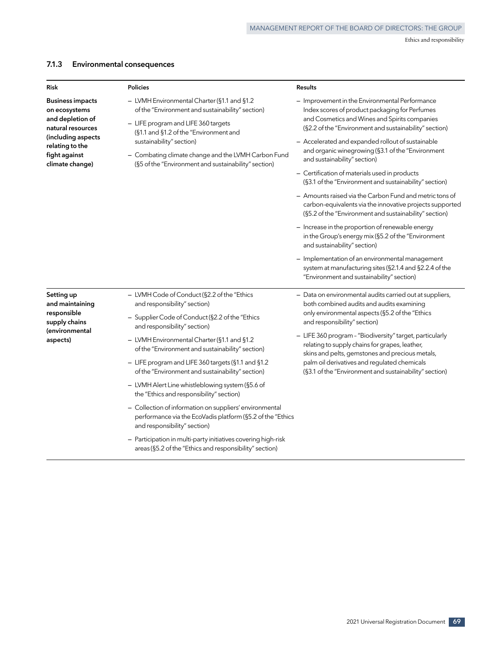## **7.1.3 Environmental consequences**

| <b>Risk</b>                                                                       | <b>Policies</b>                                                                                                                                                                  | <b>Results</b>                                                                                                                                                                                              |
|-----------------------------------------------------------------------------------|----------------------------------------------------------------------------------------------------------------------------------------------------------------------------------|-------------------------------------------------------------------------------------------------------------------------------------------------------------------------------------------------------------|
| <b>Business impacts</b><br>on ecosystems<br>and depletion of<br>natural resources | - LVMH Environmental Charter (§1.1 and §1.2<br>of the "Environment and sustainability" section)<br>- LIFE program and LIFE 360 targets<br>(§1.1 and §1.2 of the "Environment and | - Improvement in the Environmental Performance<br>Index scores of product packaging for Perfumes<br>and Cosmetics and Wines and Spirits companies<br>(§2.2 of the "Environment and sustainability" section) |
| (including aspects<br>relating to the<br>fight against<br>climate change)         | sustainability" section)<br>- Combating climate change and the LVMH Carbon Fund<br>(§5 of the "Environment and sustainability" section)                                          | - Accelerated and expanded rollout of sustainable<br>and organic winegrowing (§3.1 of the "Environment<br>and sustainability" section)                                                                      |
|                                                                                   |                                                                                                                                                                                  | - Certification of materials used in products<br>(§3.1 of the "Environment and sustainability" section)                                                                                                     |
|                                                                                   |                                                                                                                                                                                  | - Amounts raised via the Carbon Fund and metric tons of<br>carbon-equivalents via the innovative projects supported<br>(§5.2 of the "Environment and sustainability" section)                               |
|                                                                                   |                                                                                                                                                                                  | - Increase in the proportion of renewable energy<br>in the Group's energy mix (§5.2 of the "Environment<br>and sustainability" section)                                                                     |
|                                                                                   |                                                                                                                                                                                  | - Implementation of an environmental management<br>system at manufacturing sites (§2.1.4 and §2.2.4 of the<br>"Environment and sustainability" section)                                                     |
| Setting up<br>and maintaining                                                     | - LVMH Code of Conduct (§2.2 of the "Ethics<br>and responsibility" section)                                                                                                      | - Data on environmental audits carried out at suppliers,<br>both combined audits and audits examining                                                                                                       |
| responsible<br>supply chains                                                      | - Supplier Code of Conduct (§2.2 of the "Ethics<br>and responsibility" section)                                                                                                  | only environmental aspects (§5.2 of the "Ethics<br>and responsibility" section)                                                                                                                             |
| (environmental<br>aspects)                                                        | - LVMH Environmental Charter (§1.1 and §1.2<br>of the "Environment and sustainability" section)                                                                                  | - LIFE 360 program - "Biodiversity" target, particularly<br>relating to supply chains for grapes, leather,<br>skins and pelts, gemstones and precious metals,                                               |
|                                                                                   | - LIFE program and LIFE 360 targets (§1.1 and §1.2<br>of the "Environment and sustainability" section)                                                                           | palm oil derivatives and regulated chemicals<br>(§3.1 of the "Environment and sustainability" section)                                                                                                      |
|                                                                                   | - LVMH Alert Line whistleblowing system (§5.6 of<br>the "Ethics and responsibility" section)                                                                                     |                                                                                                                                                                                                             |
|                                                                                   | - Collection of information on suppliers' environmental<br>performance via the EcoVadis platform (§5.2 of the "Ethics<br>and responsibility" section)                            |                                                                                                                                                                                                             |
|                                                                                   | - Participation in multi-party initiatives covering high-risk<br>areas (§5.2 of the "Ethics and responsibility" section)                                                         |                                                                                                                                                                                                             |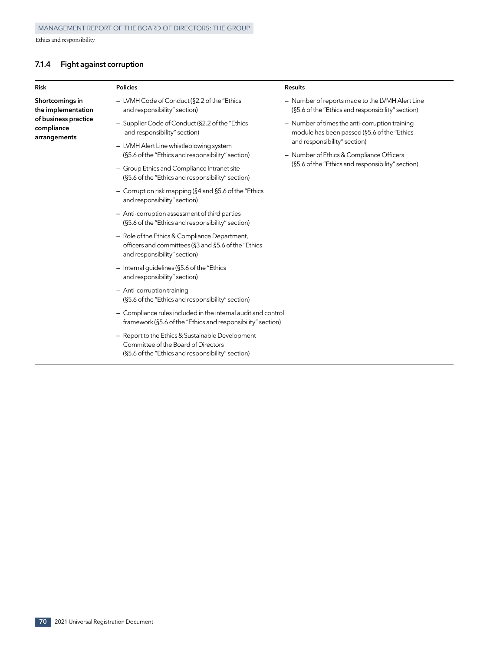## **7.1.4 Fight against corruption**

| <b>Risk</b>                                        | <b>Policies</b>                                                                                                                              | <b>Results</b>                                                                                                                |
|----------------------------------------------------|----------------------------------------------------------------------------------------------------------------------------------------------|-------------------------------------------------------------------------------------------------------------------------------|
| Shortcomings in<br>the implementation              | - LVMH Code of Conduct (§2.2 of the "Ethics"<br>and responsibility" section)                                                                 | - Number of reports made to the LVMH Alert Line<br>(§5.6 of the "Ethics and responsibility" section)                          |
| of business practice<br>compliance<br>arrangements | - Supplier Code of Conduct (§2.2 of the "Ethics<br>and responsibility" section)                                                              | - Number of times the anti-corruption training<br>module has been passed (§5.6 of the "Ethics                                 |
|                                                    | - LVMH Alert Line whistleblowing system<br>(§5.6 of the "Ethics and responsibility" section)                                                 | and responsibility" section)<br>- Number of Ethics & Compliance Officers<br>(§5.6 of the "Ethics and responsibility" section) |
|                                                    | - Group Ethics and Compliance Intranet site<br>(§5.6 of the "Ethics and responsibility" section)                                             |                                                                                                                               |
|                                                    | - Corruption risk mapping ( $\S 4$ and $\S 5.6$ of the "Ethics"<br>and responsibility" section)                                              |                                                                                                                               |
|                                                    | - Anti-corruption assessment of third parties<br>(§5.6 of the "Ethics and responsibility" section)                                           |                                                                                                                               |
|                                                    | - Role of the Ethics & Compliance Department,<br>officers and committees (§3 and §5.6 of the "Ethics<br>and responsibility" section)         |                                                                                                                               |
|                                                    | $-$ Internal guidelines (§5.6 of the "Ethics"<br>and responsibility" section)                                                                |                                                                                                                               |
|                                                    | - Anti-corruption training<br>(§5.6 of the "Ethics and responsibility" section)                                                              |                                                                                                                               |
|                                                    | - Compliance rules included in the internal audit and control<br>framework (§5.6 of the "Ethics and responsibility" section)                 |                                                                                                                               |
|                                                    | - Report to the Ethics & Sustainable Development<br>Committee of the Board of Directors<br>(§5.6 of the "Ethics and responsibility" section) |                                                                                                                               |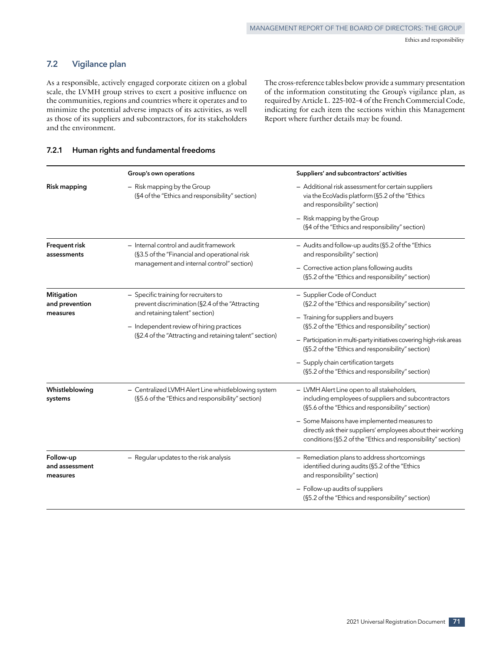## **7.2 Vigilance plan**

As a responsible, actively engaged corporate citizen on a global scale, the LVMH group strives to exert a positive influence on the communities, regions and countries where it operates and to minimize the potential adverse impacts of its activities, as well as those of its suppliers and subcontractors, for its stakeholders and the environment.

The cross-reference tables below provide a summary presentation of the information constituting the Group's vigilance plan, as required by Article L. 225‑102‑4 of the French Commercial Code, indicating for each item the sections within this Management Report where further details may be found.

## **7.2.1 Human rights and fundamental freedoms**

|                                                 | Group's own operations                                                                                                                                                                                                            | Suppliers' and subcontractors' activities                                                                                                                                                                                                                                                                                                                                                            |
|-------------------------------------------------|-----------------------------------------------------------------------------------------------------------------------------------------------------------------------------------------------------------------------------------|------------------------------------------------------------------------------------------------------------------------------------------------------------------------------------------------------------------------------------------------------------------------------------------------------------------------------------------------------------------------------------------------------|
| Risk mapping                                    | - Risk mapping by the Group<br>(§4 of the "Ethics and responsibility" section)                                                                                                                                                    | - Additional risk assessment for certain suppliers<br>via the EcoVadis platform (§5.2 of the "Ethics<br>and responsibility" section)                                                                                                                                                                                                                                                                 |
|                                                 |                                                                                                                                                                                                                                   | - Risk mapping by the Group<br>(§4 of the "Ethics and responsibility" section)                                                                                                                                                                                                                                                                                                                       |
| Frequent risk<br>assessments                    | - Internal control and audit framework<br>(§3.5 of the "Financial and operational risk<br>management and internal control" section)                                                                                               | - Audits and follow-up audits (§5.2 of the "Ethics<br>and responsibility" section)<br>- Corrective action plans following audits<br>(§5.2 of the "Ethics and responsibility" section)                                                                                                                                                                                                                |
| <b>Mitigation</b><br>and prevention<br>measures | - Specific training for recruiters to<br>prevent discrimination (§2.4 of the "Attracting<br>and retaining talent" section)<br>- Independent review of hiring practices<br>(§2.4 of the "Attracting and retaining talent" section) | - Supplier Code of Conduct<br>(§2.2 of the "Ethics and responsibility" section)<br>- Training for suppliers and buyers<br>(§5.2 of the "Ethics and responsibility" section)<br>- Participation in multi-party initiatives covering high-risk areas<br>(§5.2 of the "Ethics and responsibility" section)<br>- Supply chain certification targets<br>(§5.2 of the "Ethics and responsibility" section) |
| Whistleblowing<br>systems                       | - Centralized LVMH Alert Line whistleblowing system<br>(§5.6 of the "Ethics and responsibility" section)                                                                                                                          | - LVMH Alert Line open to all stakeholders,<br>including employees of suppliers and subcontractors<br>(§5.6 of the "Ethics and responsibility" section)<br>- Some Maisons have implemented measures to<br>directly ask their suppliers' employees about their working<br>conditions (§5.2 of the "Ethics and responsibility" section)                                                                |
| Follow-up<br>and assessment<br>measures         | - Regular updates to the risk analysis                                                                                                                                                                                            | - Remediation plans to address shortcomings<br>identified during audits (§5.2 of the "Ethics<br>and responsibility" section)<br>- Follow-up audits of suppliers<br>(§5.2 of the "Ethics and responsibility" section)                                                                                                                                                                                 |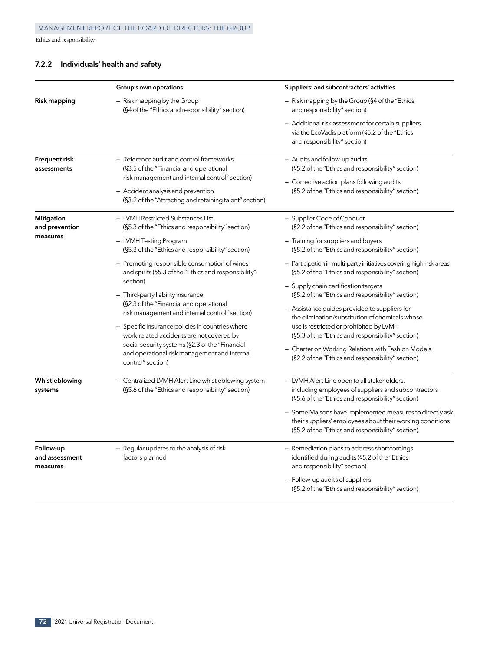## **7.2.2 Individuals' health and safety**

|                                         | Group's own operations                                                                                                                                                                                                                 | Suppliers' and subcontractors' activities                                                                                                                                                                                                |
|-----------------------------------------|----------------------------------------------------------------------------------------------------------------------------------------------------------------------------------------------------------------------------------------|------------------------------------------------------------------------------------------------------------------------------------------------------------------------------------------------------------------------------------------|
| Risk mapping                            | $-$ Risk mapping by the Group<br>(§4 of the "Ethics and responsibility" section)                                                                                                                                                       | - Risk mapping by the Group (§4 of the "Ethics<br>and responsibility" section)                                                                                                                                                           |
|                                         |                                                                                                                                                                                                                                        | - Additional risk assessment for certain suppliers<br>via the EcoVadis platform (§5.2 of the "Ethics<br>and responsibility" section)                                                                                                     |
| Frequent risk<br>assessments            | - Reference audit and control frameworks<br>(§3.5 of the "Financial and operational<br>risk management and internal control" section)<br>- Accident analysis and prevention<br>(§3.2 of the "Attracting and retaining talent" section) | - Audits and follow-up audits<br>(§5.2 of the "Ethics and responsibility" section)<br>- Corrective action plans following audits<br>(§5.2 of the "Ethics and responsibility" section)                                                    |
| <b>Mitigation</b><br>and prevention     | - LVMH Restricted Substances List<br>(§5.3 of the "Ethics and responsibility" section)                                                                                                                                                 | - Supplier Code of Conduct<br>(§2.2 of the "Ethics and responsibility" section)                                                                                                                                                          |
| measures                                | - LVMH Testing Program<br>(§5.3 of the "Ethics and responsibility" section)                                                                                                                                                            | - Training for suppliers and buyers<br>(§5.2 of the "Ethics and responsibility" section)                                                                                                                                                 |
|                                         | - Promoting responsible consumption of wines<br>and spirits (§5.3 of the "Ethics and responsibility"<br>section)                                                                                                                       | - Participation in multi-party initiatives covering high-risk areas<br>(§5.2 of the "Ethics and responsibility" section)                                                                                                                 |
|                                         | - Third-party liability insurance<br>(§2.3 of the "Financial and operational<br>risk management and internal control" section)<br>- Specific insurance policies in countries where                                                     | - Supply chain certification targets<br>(§5.2 of the "Ethics and responsibility" section)<br>- Assistance guides provided to suppliers for<br>the elimination/substitution of chemicals whose<br>use is restricted or prohibited by LVMH |
|                                         | work-related accidents are not covered by<br>social security systems (§2.3 of the "Financial<br>and operational risk management and internal<br>control" section)                                                                      | (§5.3 of the "Ethics and responsibility" section)<br>- Charter on Working Relations with Fashion Models<br>(§2.2 of the "Ethics and responsibility" section)                                                                             |
| Whistleblowing<br>systems               | - Centralized LVMH Alert Line whistleblowing system<br>(§5.6 of the "Ethics and responsibility" section)                                                                                                                               | - LVMH Alert Line open to all stakeholders,<br>including employees of suppliers and subcontractors<br>(§5.6 of the "Ethics and responsibility" section)                                                                                  |
|                                         |                                                                                                                                                                                                                                        | - Some Maisons have implemented measures to directly ask<br>their suppliers' employees about their working conditions<br>(§5.2 of the "Ethics and responsibility" section)                                                               |
| Follow-up<br>and assessment<br>measures | - Regular updates to the analysis of risk<br>factors planned                                                                                                                                                                           | - Remediation plans to address shortcomings<br>identified during audits (§5.2 of the "Ethics<br>and responsibility" section)                                                                                                             |
|                                         |                                                                                                                                                                                                                                        | - Follow-up audits of suppliers<br>(§5.2 of the "Ethics and responsibility" section)                                                                                                                                                     |